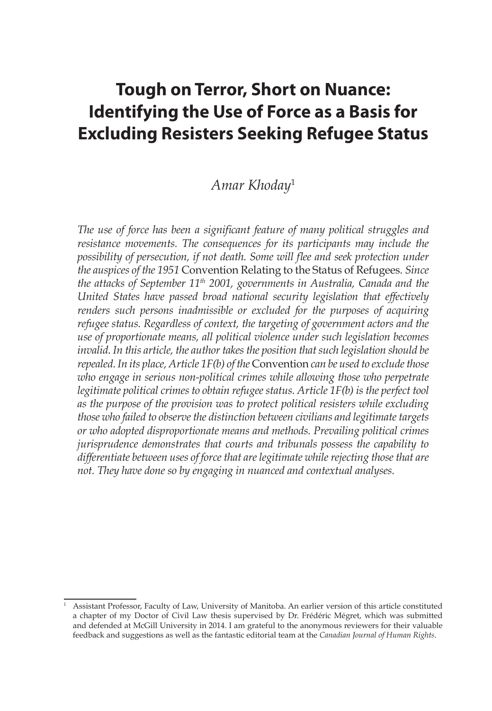# **Tough on Terror, Short on Nuance: Identifying the Use of Force as a Basis for Excluding Resisters Seeking Refugee Status**

# *Amar Khoday*<sup>1</sup>

*The use of force has been a significant feature of many political struggles and resistance movements. The consequences for its participants may include the possibility of persecution, if not death. Some will flee and seek protection under the auspices of the 1951* Convention Relating to the Status of Refugees*. Since the attacks of September 11th 2001, governments in Australia, Canada and the United States have passed broad national security legislation that effectively renders such persons inadmissible or excluded for the purposes of acquiring refugee status. Regardless of context, the targeting of government actors and the use of proportionate means, all political violence under such legislation becomes invalid. In this article, the author takes the position that such legislation should be repealed. In its place, Article 1F(b) of the* Convention *can be used to exclude those*  who engage in serious non-political crimes while allowing those who perpetrate *legitimate political crimes to obtain refugee status. Article 1F(b) is the perfect tool as the purpose of the provision was to protect political resisters while excluding those who failed to observe the distinction between civilians and legitimate targets or who adopted disproportionate means and methods. Prevailing political crimes jurisprudence demonstrates that courts and tribunals possess the capability to differentiate between uses of force that are legitimate while rejecting those that are not. They have done so by engaging in nuanced and contextual analyses.*

<sup>1</sup> Assistant Professor, Faculty of Law, University of Manitoba. An earlier version of this article constituted a chapter of my Doctor of Civil Law thesis supervised by Dr. Frédéric Mégret, which was submitted and defended at McGill University in 2014. I am grateful to the anonymous reviewers for their valuable feedback and suggestions as well as the fantastic editorial team at the *Canadian Journal of Human Rights*.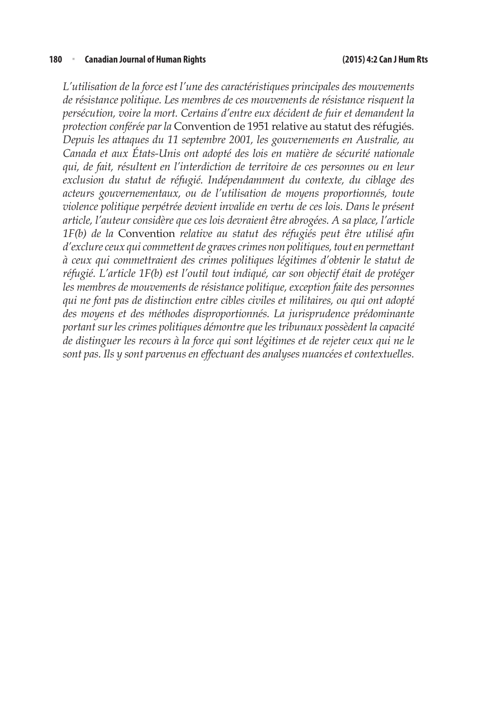#### **180** <sup>n</sup> **Canadian Journal of Human Rights (2015) 4:2 Can J Hum Rts**

*L'utilisation de la force est l'une des caractéristiques principales des mouvements de résistance politique. Les membres de ces mouvements de résistance risquent la persécution, voire la mort. Certains d'entre eux décident de fuir et demandent la protection conférée par la* Convention de 1951 relative au statut des réfugiés*. Depuis les attaques du 11 septembre 2001, les gouvernements en Australie, au Canada et aux États-Unis ont adopté des lois en matière de sécurité nationale qui, de fait, résultent en l'interdiction de territoire de ces personnes ou en leur exclusion du statut de réfugié. Indépendamment du contexte, du ciblage des acteurs gouvernementaux, ou de l'utilisation de moyens proportionnés, toute violence politique perpétrée devient invalide en vertu de ces lois. Dans le présent article, l'auteur considère que ces lois devraient être abrogées. A sa place, l'article 1F(b) de la* Convention *relative au statut des réfugiés peut être utilisé afin d'exclure ceux qui commettent de graves crimes non politiques, tout en permettant à ceux qui commettraient des crimes politiques légitimes d'obtenir le statut de réfugié. L'article 1F(b) est l'outil tout indiqué, car son objectif était de protéger les membres de mouvements de résistance politique, exception faite des personnes qui ne font pas de distinction entre cibles civiles et militaires, ou qui ont adopté des moyens et des méthodes disproportionnés. La jurisprudence prédominante portant sur les crimes politiques démontre que les tribunaux possèdent la capacité de distinguer les recours à la force qui sont légitimes et de rejeter ceux qui ne le sont pas. Ils y sont parvenus en effectuant des analyses nuancées et contextuelles.*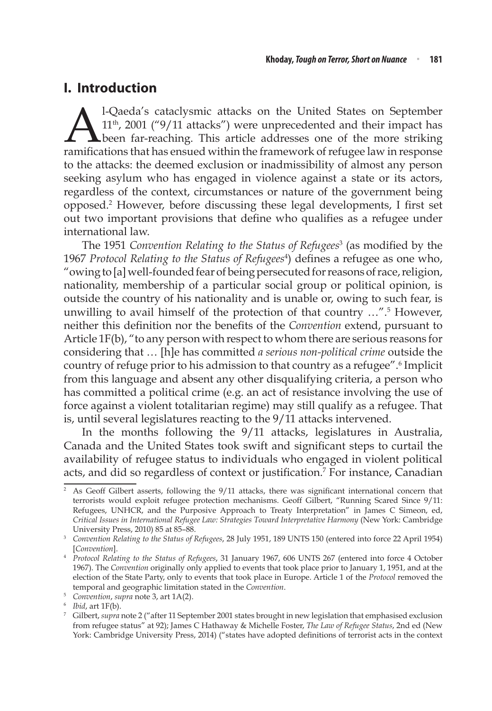# **I. Introduction**

 $\sum_{11^{th}}$ , 2001 ("9/11 attacks") were unprecedented and their impact has been far-reaching. This article addresses one of the more striking ramifications that has ensued within the framework of refugee law in response 11th, 2001 ("9/11 attacks") were unprecedented and their impact has been far-reaching. This article addresses one of the more striking ramifications that has ensued within the framework of refugee law in response to the attacks: the deemed exclusion or inadmissibility of almost any person seeking asylum who has engaged in violence against a state or its actors, regardless of the context, circumstances or nature of the government being opposed.2 However, before discussing these legal developments, I first set out two important provisions that define who qualifies as a refugee under international law.

The 1951 *Convention Relating to the Status of Refugees*<sup>3</sup> (as modified by the 1967 *Protocol Relating to the Status of Refugees*<sup>4</sup> ) defines a refugee as one who, "owing to [a] well-founded fear of being persecuted for reasons of race, religion, nationality, membership of a particular social group or political opinion, is outside the country of his nationality and is unable or, owing to such fear, is unwilling to avail himself of the protection of that country …".5 However, neither this definition nor the benefits of the *Convention* extend, pursuant to Article 1F(b), "to any person with respect to whom there are serious reasons for considering that … [h]e has committed *a serious non-political crime* outside the country of refuge prior to his admission to that country as a refugee".<sup>6</sup> Implicit from this language and absent any other disqualifying criteria, a person who has committed a political crime (e.g. an act of resistance involving the use of force against a violent totalitarian regime) may still qualify as a refugee. That is, until several legislatures reacting to the 9/11 attacks intervened.

In the months following the 9/11 attacks, legislatures in Australia, Canada and the United States took swift and significant steps to curtail the availability of refugee status to individuals who engaged in violent political acts, and did so regardless of context or justification.<sup>7</sup> For instance, Canadian

<sup>&</sup>lt;sup>2</sup> As Geoff Gilbert asserts, following the 9/11 attacks, there was significant international concern that terrorists would exploit refugee protection mechanisms. Geoff Gilbert, "Running Scared Since 9/11: Refugees, UNHCR, and the Purposive Approach to Treaty Interpretation" in James C Simeon, ed, *Critical Issues in International Refugee Law: Strategies Toward Interpretative Harmony* (New York: Cambridge

<sup>&</sup>lt;sup>3</sup> Convention Relating to the Status of Refugees, 28 July 1951, 189 UNTS 150 (entered into force 22 April 1954) [*Convention*].

<sup>4</sup> *Protocol Relating to the Status of Refugees*, 31 January 1967, 606 UNTS 267 (entered into force 4 October 1967). The *Convention* originally only applied to events that took place prior to January 1, 1951, and at the election of the State Party, only to events that took place in Europe. Article 1 of the *Protocol* removed the temporal and geographic limitation stated in the Convention.<br>
<sup>5</sup> Convention, supra note 3, art 1A(2).<br>
<sup>6</sup> Ibid, art 1F(b).<br>
<sup>7</sup> Gilbert, supra note 2 ("after 11 September 2001 states brought in new legislation that empha

from refugee status" at 92); James C Hathaway & Michelle Foster, *The Law of Refugee Status*, 2nd ed (New York: Cambridge University Press, 2014) ("states have adopted definitions of terrorist acts in the context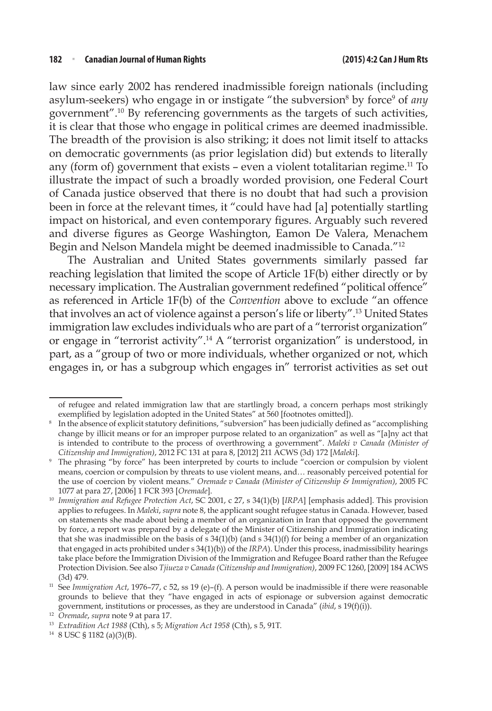law since early 2002 has rendered inadmissible foreign nationals (including asylum-seekers) who engage in or instigate "the subversion<sup>8</sup> by force<sup>9</sup> of *any* government".10 By referencing governments as the targets of such activities, it is clear that those who engage in political crimes are deemed inadmissible. The breadth of the provision is also striking; it does not limit itself to attacks on democratic governments (as prior legislation did) but extends to literally any (form of) government that exists – even a violent totalitarian regime.<sup>11</sup> To illustrate the impact of such a broadly worded provision, one Federal Court of Canada justice observed that there is no doubt that had such a provision been in force at the relevant times, it "could have had [a] potentially startling impact on historical, and even contemporary figures. Arguably such revered and diverse figures as George Washington, Eamon De Valera, Menachem Begin and Nelson Mandela might be deemed inadmissible to Canada."12

The Australian and United States governments similarly passed far reaching legislation that limited the scope of Article 1F(b) either directly or by necessary implication. The Australian government redefined "political offence" as referenced in Article 1F(b) of the *Convention* above to exclude "an offence that involves an act of violence against a person's life or liberty".13 United States immigration law excludes individuals who are part of a "terrorist organization" or engage in "terrorist activity".14 A "terrorist organization" is understood, in part, as a "group of two or more individuals, whether organized or not, which engages in, or has a subgroup which engages in" terrorist activities as set out

of refugee and related immigration law that are startlingly broad, a concern perhaps most strikingly exemplified by legislation adopted in the United States" at 560 [footnotes omitted]).

<sup>8</sup> In the absence of explicit statutory definitions, "subversion" has been judicially defined as "accomplishing change by illicit means or for an improper purpose related to an organization" as well as "[a]ny act that is intended to contribute to the process of overthrowing a government". *Maleki v Canada (Minister of Citizenship and Immigration)*, 2012 FC 131 at para 8, [2012] 211 ACWS (3d) 172 [*Maleki*].

<sup>&</sup>lt;sup>9</sup> The phrasing "by force" has been interpreted by courts to include "coercion or compulsion by violent means, coercion or compulsion by threats to use violent means, and… reasonably perceived potential for the use of coercion by violent means." *Oremade v Canada (Minister of Citizenship & Immigration)*, 2005 FC 1077 at para 27, [2006] 1 FCR 393 [*Oremade*].

<sup>10</sup> *Immigration and Refugee Protection Act*, SC 2001, c 27, s 34(1)(b) [*IRPA*] [emphasis added]. This provision applies to refugees. In *Maleki*, *supra* note 8, the applicant sought refugee status in Canada. However, based on statements she made about being a member of an organization in Iran that opposed the government by force, a report was prepared by a delegate of the Minister of Citizenship and Immigration indicating that she was inadmissible on the basis of  $s$  34(1)(b) (and  $s$  34(1)(f) for being a member of an organization that engaged in acts prohibited under s 34(1)(b)) of the *IRPA*). Under this process, inadmissibility hearings take place before the Immigration Division of the Immigration and Refugee Board rather than the Refugee Protection Division. See also *Tjiueza v Canada (Citizenship and Immigration)*, 2009 FC 1260, [2009] 184 ACWS

<sup>(3</sup>d) 479. 11 See *Immigration Act*, 1976–77, c 52, ss 19 (e)–(f). A person would be inadmissible if there were reasonable grounds to believe that they "have engaged in acts of espionage or subversion against democratic government, institutions or processes, as they are understood in Canada" (*ibid*, s 19(f)(i)).

<sup>&</sup>lt;sup>13</sup> *Extradition Act 1988* (Cth), s 5; *Migration Act 1958* (Cth), s 5, 91T. <sup>14</sup> 8 USC § 1182 (a)(3)(B).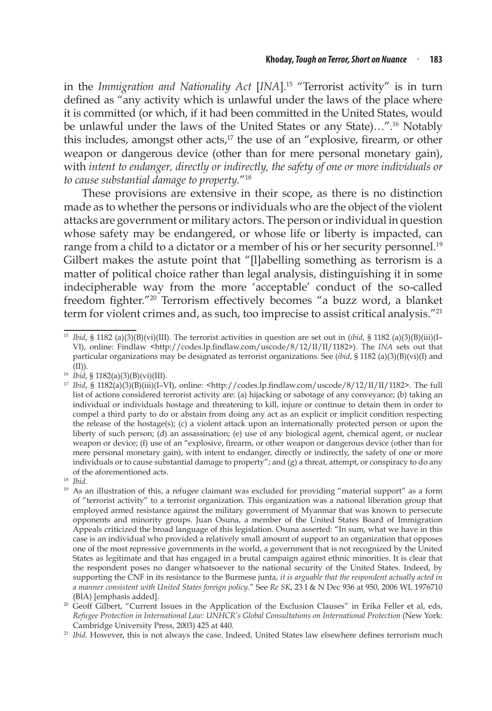in the *Immigration and Nationality Act* [*INA*].15 "Terrorist activity" is in turn defined as "any activity which is unlawful under the laws of the place where it is committed (or which, if it had been committed in the United States, would be unlawful under the laws of the United States or any State)…".16 Notably this includes, amongst other  $\arctan s$ ,<sup>17</sup> the use of an "explosive, firearm, or other weapon or dangerous device (other than for mere personal monetary gain), with *intent to endanger, directly or indirectly, the safety of one or more individuals or to cause substantial damage to property.*"18

These provisions are extensive in their scope, as there is no distinction made as to whether the persons or individuals who are the object of the violent attacks are government or military actors. The person or individual in question whose safety may be endangered, or whose life or liberty is impacted, can range from a child to a dictator or a member of his or her security personnel.<sup>19</sup> Gilbert makes the astute point that "[l]abelling something as terrorism is a matter of political choice rather than legal analysis, distinguishing it in some indecipherable way from the more 'acceptable' conduct of the so-called freedom fighter."20 Terrorism effectively becomes "a buzz word, a blanket term for violent crimes and, as such, too imprecise to assist critical analysis."21

<sup>18</sup> *Ibid*.

<sup>15</sup> *Ibid*, § 1182 (a)(3)(B)(vi)(III). The terrorist activities in question are set out in (*ibid*, § 1182 (a)(3)(B)(iii)(I– VI), online: Findlaw <http://codes.lp.findlaw.com/uscode/8/12/II/II/1182>). The *INA* sets out that particular organizations may be designated as terrorist organizations. See (*ibid*, § 1182 (a)(3)(B)(vi)(I) and

<sup>(</sup>II)).<br><sup>16</sup> *Ibid,* § 1182(a)(3)(B)(vi)(III).

<sup>&</sup>lt;sup>17</sup> *Ibid*, § 1182(a)(3)(B)(iii)(I-VI), online: <http://codes.lp.findlaw.com/uscode/8/12/II/II/1182>. The full list of actions considered terrorist activity are: (a) hijacking or sabotage of any conveyance; (b) taking an individual or individuals hostage and threatening to kill, injure or continue to detain them in order to compel a third party to do or abstain from doing any act as an explicit or implicit condition respecting the release of the hostage(s); (c) a violent attack upon an internationally protected person or upon the liberty of such person; (d) an assassination; (e) use of any biological agent, chemical agent, or nuclear weapon or device; (f) use of an "explosive, firearm, or other weapon or dangerous device (other than for mere personal monetary gain), with intent to endanger, directly or indirectly, the safety of one or more individuals or to cause substantial damage to property"; and (g) a threat, attempt, or conspiracy to do any of the aforementioned acts.

<sup>&</sup>lt;sup>19</sup> As an illustration of this, a refugee claimant was excluded for providing "material support" as a form of "terrorist activity" to a terrorist organization. This organization was a national liberation group that employed armed resistance against the military government of Myanmar that was known to persecute opponents and minority groups. Juan Osuna, a member of the United States Board of Immigration Appeals criticized the broad language of this legislation. Osuna asserted: "In sum, what we have in this case is an individual who provided a relatively small amount of support to an organization that opposes one of the most repressive governments in the world, a government that is not recognized by the United States as legitimate and that has engaged in a brutal campaign against ethnic minorities. It is clear that the respondent poses no danger whatsoever to the national security of the United States. Indeed, by supporting the CNF in its resistance to the Burmese junta, *it is arguable that the respondent actually acted in a manner consistent with United States foreign policy.*" See *Re SK*, 23 I & N Dec 936 at 950, 2006 WL 1976710

<sup>(</sup>BIA) [emphasis added].<br><sup>20</sup> Geoff Gilbert, "Current Issues in the Application of the Exclusion Clauses" in Erika Feller et al, eds, *Refugee Protection in International Law: UNHCR's Global Consultations on International Protection (New York:* Cambridge University Press, 2003) 425 at 440.

<sup>&</sup>lt;sup>21</sup> *Ibid*. However, this is not always the case. Indeed, United States law elsewhere defines terrorism much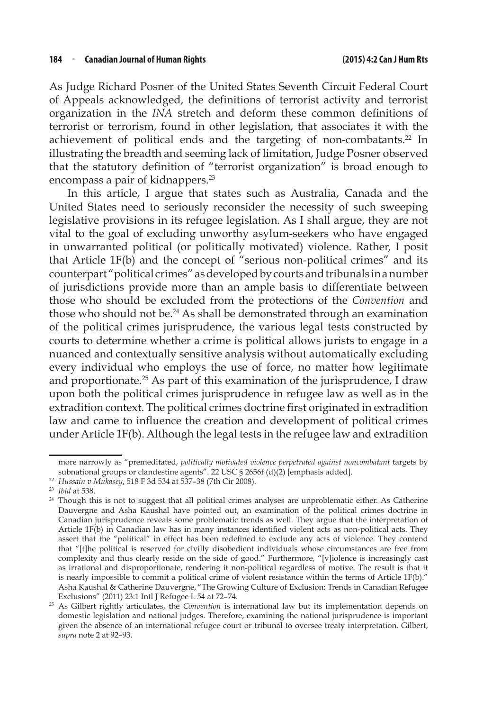As Judge Richard Posner of the United States Seventh Circuit Federal Court of Appeals acknowledged, the definitions of terrorist activity and terrorist organization in the *INA* stretch and deform these common definitions of terrorist or terrorism, found in other legislation, that associates it with the achievement of political ends and the targeting of non-combatants.<sup>22</sup> In illustrating the breadth and seeming lack of limitation, Judge Posner observed that the statutory definition of "terrorist organization" is broad enough to encompass a pair of kidnappers.<sup>23</sup>

In this article, I argue that states such as Australia, Canada and the United States need to seriously reconsider the necessity of such sweeping legislative provisions in its refugee legislation. As I shall argue, they are not vital to the goal of excluding unworthy asylum-seekers who have engaged in unwarranted political (or politically motivated) violence. Rather, I posit that Article 1F(b) and the concept of "serious non-political crimes" and its counterpart "political crimes" as developed by courts and tribunals in a number of jurisdictions provide more than an ample basis to differentiate between those who should be excluded from the protections of the *Convention* and those who should not be.<sup>24</sup> As shall be demonstrated through an examination of the political crimes jurisprudence, the various legal tests constructed by courts to determine whether a crime is political allows jurists to engage in a nuanced and contextually sensitive analysis without automatically excluding every individual who employs the use of force, no matter how legitimate and proportionate.25 As part of this examination of the jurisprudence, I draw upon both the political crimes jurisprudence in refugee law as well as in the extradition context. The political crimes doctrine first originated in extradition law and came to influence the creation and development of political crimes under Article 1F(b). Although the legal tests in the refugee law and extradition

more narrowly as "premeditated, *politically motivated violence perpetrated against noncombatant* targets by subnational groups or clandestine agents". 22 USC § 2656f (d)(2) [emphasis added].

<sup>22</sup> *Hussain v Mukasey*, 518 F 3d 534 at 537–38 (7th Cir 2008).

<sup>&</sup>lt;sup>24</sup> Though this is not to suggest that all political crimes analyses are unproblematic either. As Catherine Dauvergne and Asha Kaushal have pointed out, an examination of the political crimes doctrine in Canadian jurisprudence reveals some problematic trends as well. They argue that the interpretation of Article 1F(b) in Canadian law has in many instances identified violent acts as non-political acts. They assert that the "political" in effect has been redefined to exclude any acts of violence. They contend that "[t]he political is reserved for civilly disobedient individuals whose circumstances are free from complexity and thus clearly reside on the side of good." Furthermore, "[v]iolence is increasingly cast as irrational and disproportionate, rendering it non-political regardless of motive. The result is that it is nearly impossible to commit a political crime of violent resistance within the terms of Article 1F(b)." Asha Kaushal & Catherine Dauvergne, "The Growing Culture of Exclusion: Trends in Canadian Refugee Exclusions" (2011) 23:1 Intl J Refugee L 54 at 72–74.

<sup>25</sup> As Gilbert rightly articulates, the *Convention* is international law but its implementation depends on domestic legislation and national judges. Therefore, examining the national jurisprudence is important given the absence of an international refugee court or tribunal to oversee treaty interpretation. Gilbert, *supra* note 2 at 92–93.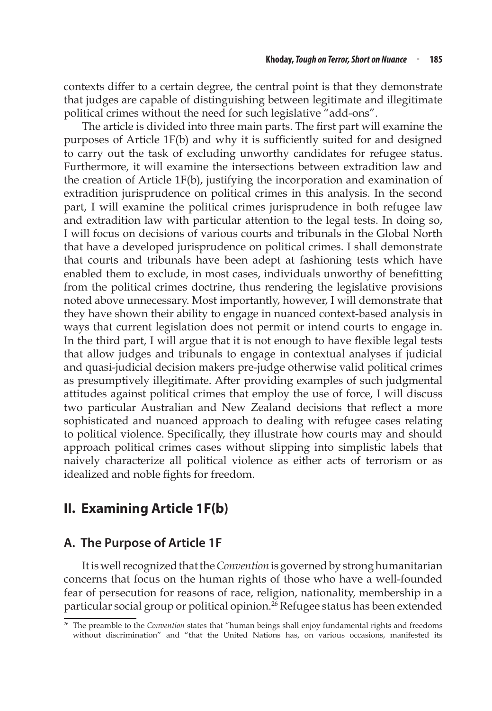contexts differ to a certain degree, the central point is that they demonstrate that judges are capable of distinguishing between legitimate and illegitimate political crimes without the need for such legislative "add-ons".

The article is divided into three main parts. The first part will examine the purposes of Article 1F(b) and why it is sufficiently suited for and designed to carry out the task of excluding unworthy candidates for refugee status. Furthermore, it will examine the intersections between extradition law and the creation of Article 1F(b), justifying the incorporation and examination of extradition jurisprudence on political crimes in this analysis. In the second part, I will examine the political crimes jurisprudence in both refugee law and extradition law with particular attention to the legal tests. In doing so, I will focus on decisions of various courts and tribunals in the Global North that have a developed jurisprudence on political crimes. I shall demonstrate that courts and tribunals have been adept at fashioning tests which have enabled them to exclude, in most cases, individuals unworthy of benefitting from the political crimes doctrine, thus rendering the legislative provisions noted above unnecessary. Most importantly, however, I will demonstrate that they have shown their ability to engage in nuanced context-based analysis in ways that current legislation does not permit or intend courts to engage in. In the third part, I will argue that it is not enough to have flexible legal tests that allow judges and tribunals to engage in contextual analyses if judicial and quasi-judicial decision makers pre-judge otherwise valid political crimes as presumptively illegitimate. After providing examples of such judgmental attitudes against political crimes that employ the use of force, I will discuss two particular Australian and New Zealand decisions that reflect a more sophisticated and nuanced approach to dealing with refugee cases relating to political violence. Specifically, they illustrate how courts may and should approach political crimes cases without slipping into simplistic labels that naively characterize all political violence as either acts of terrorism or as idealized and noble fights for freedom.

# **II. Examining Article 1F(b)**

# **A. The Purpose of Article 1F**

It is well recognized that the *Convention* is governed by strong humanitarian concerns that focus on the human rights of those who have a well-founded fear of persecution for reasons of race, religion, nationality, membership in a particular social group or political opinion.<sup>26</sup> Refugee status has been extended

<sup>26</sup> The preamble to the *Convention* states that "human beings shall enjoy fundamental rights and freedoms without discrimination" and "that the United Nations has, on various occasions, manifested its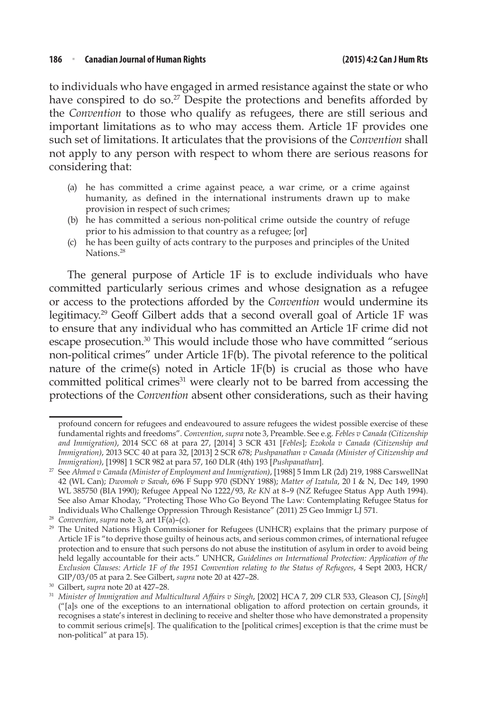to individuals who have engaged in armed resistance against the state or who have conspired to do so.<sup>27</sup> Despite the protections and benefits afforded by the *Convention* to those who qualify as refugees, there are still serious and important limitations as to who may access them. Article 1F provides one such set of limitations. It articulates that the provisions of the *Convention* shall not apply to any person with respect to whom there are serious reasons for considering that:

- (a) he has committed a crime against peace, a war crime, or a crime against humanity, as defined in the international instruments drawn up to make provision in respect of such crimes;
- (b) he has committed a serious non-political crime outside the country of refuge prior to his admission to that country as a refugee; [or]
- (c) he has been guilty of acts contrary to the purposes and principles of the United Nations.<sup>28</sup>

The general purpose of Article 1F is to exclude individuals who have committed particularly serious crimes and whose designation as a refugee or access to the protections afforded by the *Convention* would undermine its legitimacy.29 Geoff Gilbert adds that a second overall goal of Article 1F was to ensure that any individual who has committed an Article 1F crime did not escape prosecution.<sup>30</sup> This would include those who have committed "serious non-political crimes" under Article 1F(b). The pivotal reference to the political nature of the crime(s) noted in Article 1F(b) is crucial as those who have committed political crimes<sup>31</sup> were clearly not to be barred from accessing the protections of the *Convention* absent other considerations, such as their having

profound concern for refugees and endeavoured to assure refugees the widest possible exercise of these fundamental rights and freedoms". *Convention*, *supra* note 3, Preamble. See e.g. *Febles v Canada (Citizenship and Immigration)*, 2014 SCC 68 at para 27, [2014] 3 SCR 431 [*Febles*]; *Ezokola v Canada (Citizenship and Immigration)*, 2013 SCC 40 at para 32, [2013] 2 SCR 678; *Pushpanathan v Canada (Minister of Citizenship and* 

*Immigration)*, [1998] 1 SCR 982 at para 57, 160 DLR (4th) 193 [*Pushpanathan*]. 27 See *Ahmed v Canada (Minister of Employment and Immigration)*, [1988] 5 Imm LR (2d) 219, 1988 CarswellNat 42 (WL Can); *Dwomoh v Savah*, 696 F Supp 970 (SDNY 1988); *Matter of Izatula*, 20 I & N, Dec 149, 1990 WL 385750 (BIA 1990); Refugee Appeal No 1222/93, *Re KN* at 8–9 (NZ Refugee Status App Auth 1994). See also Amar Khoday, "Protecting Those Who Go Beyond The Law: Contemplating Refugee Status for Individuals Who Challenge Oppression Through Resistance" (2011) 25 Geo Immigr LJ 571.

<sup>&</sup>lt;sup>29</sup> The United Nations High Commissioner for Refugees (UNHCR) explains that the primary purpose of Article 1F is "to deprive those guilty of heinous acts, and serious common crimes, of international refugee protection and to ensure that such persons do not abuse the institution of asylum in order to avoid being held legally accountable for their acts." UNHCR, *Guidelines on International Protection: Application of the Exclusion Clauses: Article 1F of the 1951 Convention relating to the Status of Refugees*, 4 Sept 2003, HCR/

GIP/03/05 at para 2. See Gilbert, *supra* note 20 at 427–28.<br><sup>30</sup> Gilbert, *supra* note 20 at 427–28.<br><sup>31</sup> Minister of Immigration and Multicultural Affairs v Singh, [2002] HCA 7, 209 CLR 533, Gleason CJ, [Singh] ("[a]s one of the exceptions to an international obligation to afford protection on certain grounds, it recognises a state's interest in declining to receive and shelter those who have demonstrated a propensity to commit serious crime[s]. The qualification to the [political crimes] exception is that the crime must be non-political" at para 15).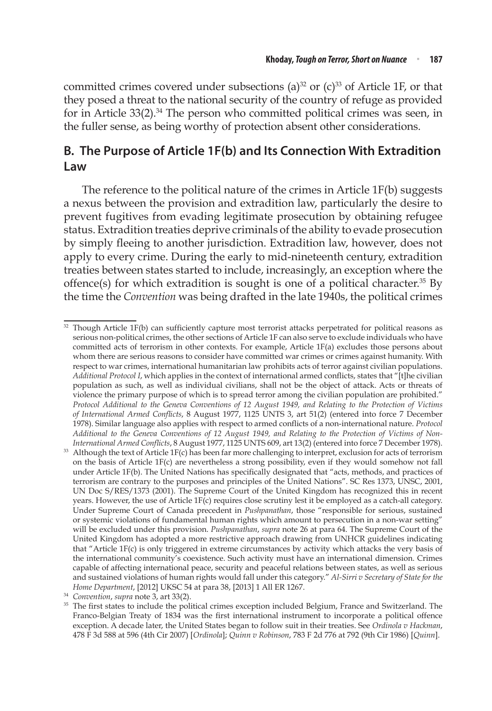committed crimes covered under subsections (a)<sup>32</sup> or (c)<sup>33</sup> of Article 1F, or that they posed a threat to the national security of the country of refuge as provided for in Article 33(2).<sup>34</sup> The person who committed political crimes was seen, in the fuller sense, as being worthy of protection absent other considerations.

# **B. The Purpose of Article 1F(b) and Its Connection With Extradition Law**

The reference to the political nature of the crimes in Article 1F(b) suggests a nexus between the provision and extradition law, particularly the desire to prevent fugitives from evading legitimate prosecution by obtaining refugee status. Extradition treaties deprive criminals of the ability to evade prosecution by simply fleeing to another jurisdiction. Extradition law, however, does not apply to every crime. During the early to mid-nineteenth century, extradition treaties between states started to include, increasingly, an exception where the offence(s) for which extradition is sought is one of a political character.<sup>35</sup> By the time the *Convention* was being drafted in the late 1940s, the political crimes

 $32$  Though Article 1F(b) can sufficiently capture most terrorist attacks perpetrated for political reasons as serious non-political crimes, the other sections of Article 1F can also serve to exclude individuals who have committed acts of terrorism in other contexts. For example, Article 1F(a) excludes those persons about whom there are serious reasons to consider have committed war crimes or crimes against humanity. With respect to war crimes, international humanitarian law prohibits acts of terror against civilian populations. *Additional Protocol I*, which applies in the context of international armed conflicts, states that "[t]he civilian population as such, as well as individual civilians, shall not be the object of attack. Acts or threats of violence the primary purpose of which is to spread terror among the civilian population are prohibited." *Protocol Additional to the Geneva Conventions of 12 August 1949, and Relating to the Protection of Victims of International Armed Conflicts*, 8 August 1977, 1125 UNTS 3, art 51(2) (entered into force 7 December 1978). Similar language also applies with respect to armed conflicts of a non-international nature. *Protocol Additional to the Geneva Conventions of 12 August 1949, and Relating to the Protection of Victims of Non-*

International Armed Conflicts, 8 August 1977, 1125 UNTS 609, art 13(2) (entered into force 7 December 1978).<br><sup>33</sup> Although the text of Article 1F(c) has been far more challenging to interpret, exclusion for acts of terrori on the basis of Article 1F(c) are nevertheless a strong possibility, even if they would somehow not fall under Article 1F(b). The United Nations has specifically designated that "acts, methods, and practices of terrorism are contrary to the purposes and principles of the United Nations". SC Res 1373, UNSC, 2001, UN Doc S/RES/1373 (2001). The Supreme Court of the United Kingdom has recognized this in recent years. However, the use of Article 1F(c) requires close scrutiny lest it be employed as a catch-all category. Under Supreme Court of Canada precedent in *Pushpanathan*, those "responsible for serious, sustained or systemic violations of fundamental human rights which amount to persecution in a non-war setting" will be excluded under this provision. *Pushpanathan*, *supra* note 26 at para 64. The Supreme Court of the United Kingdom has adopted a more restrictive approach drawing from UNHCR guidelines indicating that "Article 1F(c) is only triggered in extreme circumstances by activity which attacks the very basis of the international community's coexistence. Such activity must have an international dimension. Crimes capable of affecting international peace, security and peaceful relations between states, as well as serious and sustained violations of human rights would fall under this category." *Al-Sirri v Secretary of State for the* 

<sup>&</sup>lt;sup>34</sup> Convention, supra note 3, art 33(2).<br><sup>35</sup> The first states to include the political crimes exception included Belgium, France and Switzerland. The Franco-Belgian Treaty of 1834 was the first international instrument to incorporate a political offence exception. A decade later, the United States began to follow suit in their treaties. See *Ordinola v Hackman*, 478 F 3d 588 at 596 (4th Cir 2007) [*Ordinola*]; *Quinn v Robinson*, 783 F 2d 776 at 792 (9th Cir 1986) [*Quinn*].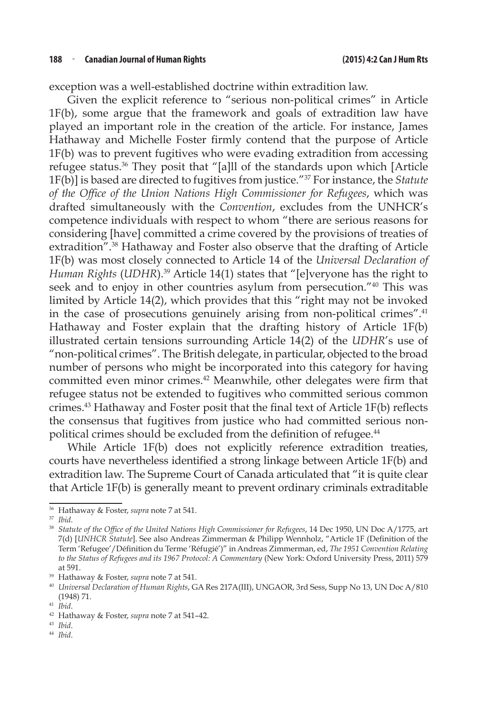exception was a well-established doctrine within extradition law.

Given the explicit reference to "serious non-political crimes" in Article 1F(b), some argue that the framework and goals of extradition law have played an important role in the creation of the article. For instance, James Hathaway and Michelle Foster firmly contend that the purpose of Article 1F(b) was to prevent fugitives who were evading extradition from accessing refugee status.36 They posit that "[a]ll of the standards upon which [Article 1F(b)] is based are directed to fugitives from justice."37 For instance, the *Statute of the Office of the Union Nations High Commissioner for Refugees*, which was drafted simultaneously with the *Convention*, excludes from the UNHCR's competence individuals with respect to whom "there are serious reasons for considering [have] committed a crime covered by the provisions of treaties of extradition".38 Hathaway and Foster also observe that the drafting of Article 1F(b) was most closely connected to Article 14 of the *Universal Declaration of Human Rights* (*UDHR*).39 Article 14(1) states that "[e]veryone has the right to seek and to enjoy in other countries asylum from persecution."<sup>40</sup> This was limited by Article 14(2), which provides that this "right may not be invoked in the case of prosecutions genuinely arising from non-political crimes".<sup>41</sup> Hathaway and Foster explain that the drafting history of Article 1F(b) illustrated certain tensions surrounding Article 14(2) of the *UDHR*'s use of "non-political crimes". The British delegate, in particular, objected to the broad number of persons who might be incorporated into this category for having committed even minor crimes.42 Meanwhile, other delegates were firm that refugee status not be extended to fugitives who committed serious common crimes.43 Hathaway and Foster posit that the final text of Article 1F(b) reflects the consensus that fugitives from justice who had committed serious nonpolitical crimes should be excluded from the definition of refugee.<sup>44</sup>

While Article 1F(b) does not explicitly reference extradition treaties, courts have nevertheless identified a strong linkage between Article 1F(b) and extradition law. The Supreme Court of Canada articulated that "it is quite clear that Article 1F(b) is generally meant to prevent ordinary criminals extraditable

<sup>&</sup>lt;sup>36</sup> Hathaway & Foster, *supra* note 7 at 541.<br><sup>37</sup> *Ibid.* 38 *Statute of the Office of the United Nations High Commissioner for Refugees*, 14 Dec 1950, UN Doc A/1775, art 7(d) [*UNHCR Statute*]. See also Andreas Zimmerman & Philipp Wennholz, "Article 1F (Definition of the Term 'Refugee'/Définition du Terme 'Réfugié')" in Andreas Zimmerman, ed, *The 1951 Convention Relating to the Status of Refugees and its 1967 Protocol: A Commentary* (New York: Oxford University Press, 2011) 579 at 591. 39 Hathaway & Foster, *supra* note 7 at 541.

<sup>40</sup> *Universal Declaration of Human Rights*, GA Res 217A(III), UNGAOR, 3rd Sess, Supp No 13, UN Doc A/810 (1948) 71.<br> $^{41}$  Ibid.

<sup>41</sup> *Ibid*. 42 Hathaway & Foster, *supra* note 7 at 541–42. 43 *Ibid*. 44 *Ibid*.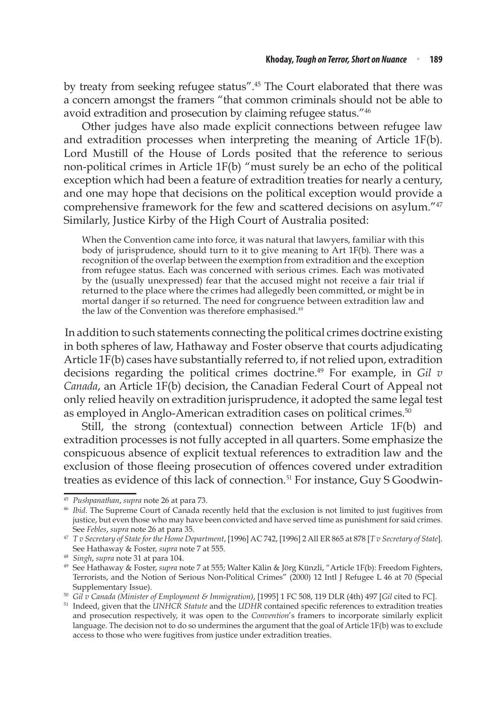by treaty from seeking refugee status".<sup>45</sup> The Court elaborated that there was a concern amongst the framers "that common criminals should not be able to avoid extradition and prosecution by claiming refugee status."46

Other judges have also made explicit connections between refugee law and extradition processes when interpreting the meaning of Article 1F(b). Lord Mustill of the House of Lords posited that the reference to serious non-political crimes in Article 1F(b) "must surely be an echo of the political exception which had been a feature of extradition treaties for nearly a century, and one may hope that decisions on the political exception would provide a comprehensive framework for the few and scattered decisions on asylum."47 Similarly, Justice Kirby of the High Court of Australia posited:

When the Convention came into force, it was natural that lawyers, familiar with this body of jurisprudence, should turn to it to give meaning to Art 1F(b). There was a recognition of the overlap between the exemption from extradition and the exception from refugee status. Each was concerned with serious crimes. Each was motivated by the (usually unexpressed) fear that the accused might not receive a fair trial if returned to the place where the crimes had allegedly been committed, or might be in mortal danger if so returned. The need for congruence between extradition law and the law of the Convention was therefore emphasised.<sup>48</sup>

In addition to such statements connecting the political crimes doctrine existing in both spheres of law, Hathaway and Foster observe that courts adjudicating Article 1F(b) cases have substantially referred to, if not relied upon, extradition decisions regarding the political crimes doctrine.49 For example, in *Gil v Canada*, an Article 1F(b) decision, the Canadian Federal Court of Appeal not only relied heavily on extradition jurisprudence, it adopted the same legal test as employed in Anglo-American extradition cases on political crimes.<sup>50</sup>

Still, the strong (contextual) connection between Article 1F(b) and extradition processes is not fully accepted in all quarters. Some emphasize the conspicuous absence of explicit textual references to extradition law and the exclusion of those fleeing prosecution of offences covered under extradition treaties as evidence of this lack of connection.<sup>51</sup> For instance, Guy S Goodwin-

<sup>&</sup>lt;sup>45</sup> *Pushpanathan, supra* note 26 at para 73.<br><sup>46</sup> *Ibid*. The Supreme Court of Canada recently held that the exclusion is not limited to just fugitives from justice, but even those who may have been convicted and have served time as punishment for said crimes.<br>See Febles, supra note 26 at para 35.

See *Febles*, *supra* note 26 at para 35. 47 *T v Secretary of State for the Home Department*, [1996] AC 742, [1996] 2 All ER 865 at 878 [*T v Secretary of State*]. See Hathaway & Foster, *supra* note 7 at 555. 48 *Singh*, *supra* note 31 at para 104.

<sup>49</sup> See Hathaway & Foster, *supra* note 7 at 555; Walter Kälin & Jörg Künzli, "Article 1F(b): Freedom Fighters, Terrorists, and the Notion of Serious Non-Political Crimes" (2000) 12 Intl J Refugee L 46 at 70 (Special Supplementary Issue).<br><sup>50</sup> Gil *v* Canada (Minister of Employment & Immigration), [1995] 1 FC 508, 119 DLR (4th) 497 [Gil cited to FC].<br><sup>51</sup> Indeed, given that the UNHCR Statute and the UDHR contained specific references

and prosecution respectively, it was open to the *Convention*'s framers to incorporate similarly explicit language. The decision not to do so undermines the argument that the goal of Article 1F(b) was to exclude access to those who were fugitives from justice under extradition treaties.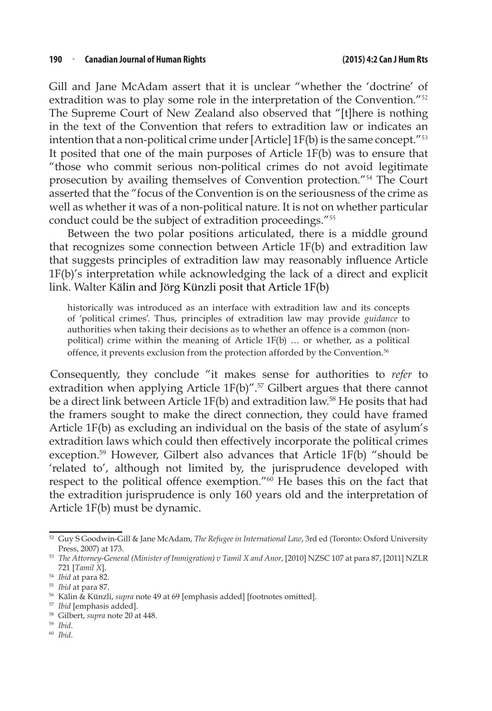Gill and Jane McAdam assert that it is unclear "whether the 'doctrine' of extradition was to play some role in the interpretation of the Convention."<sup>52</sup> The Supreme Court of New Zealand also observed that "[t]here is nothing in the text of the Convention that refers to extradition law or indicates an intention that a non-political crime under  $[Article]$   $1F(b)$  is the same concept."<sup>53</sup> It posited that one of the main purposes of Article 1F(b) was to ensure that "those who commit serious non-political crimes do not avoid legitimate prosecution by availing themselves of Convention protection."<sup>54</sup> The Court asserted that the "focus of the Convention is on the seriousness of the crime as well as whether it was of a non-political nature. It is not on whether particular conduct could be the subject of extradition proceedings."<sup>55</sup>

Between the two polar positions articulated, there is a middle ground that recognizes some connection between Article 1F(b) and extradition law that suggests principles of extradition law may reasonably influence Article 1F(b)'s interpretation while acknowledging the lack of a direct and explicit link. Walter Kälin and Jörg Künzli posit that Article 1F(b)

historically was introduced as an interface with extradition law and its concepts of 'political crimes'. Thus, principles of extradition law may provide *guidance* to authorities when taking their decisions as to whether an offence is a common (nonpolitical) crime within the meaning of Article  $1F(b)$  ... or whether, as a political offence, it prevents exclusion from the protection afforded by the Convention.<sup>56</sup>

Consequently, they conclude "it makes sense for authorities to *refer* to extradition when applying Article  $1F(b)$ ".<sup>57</sup> Gilbert argues that there cannot be a direct link between Article 1F(b) and extradition law.58 He posits that had the framers sought to make the direct connection, they could have framed Article 1F(b) as excluding an individual on the basis of the state of asylum's extradition laws which could then effectively incorporate the political crimes exception.<sup>59</sup> However, Gilbert also advances that Article 1F(b) "should be 'related to', although not limited by, the jurisprudence developed with respect to the political offence exemption."60 He bases this on the fact that the extradition jurisprudence is only 160 years old and the interpretation of Article 1F(b) must be dynamic.

- <sup>57</sup> *Ibid* [emphasis added]. 58 Gilbert, *supra* note 20 at 448. 59 *Ibid*. 60 *Ibid*.
- 
- 

<sup>52</sup> Guy S Goodwin-Gill & Jane McAdam, *The Refugee in International Law*, 3rd ed (Toronto: Oxford University Press, 2007) at 173.

<sup>53</sup> *The Attorney-General (Minister of Immigration) v Tamil X and Anor*, [2010] NZSC 107 at para 87, [2011] NZLR 721 [*Tamil X*].

<sup>&</sup>lt;sup>55</sup> *Ibid* at para 87.<br><sup>56</sup> Kälin & Künzli, *supra* note 49 at 69 [emphasis added] [footnotes omitted].<br><sup>57</sup> *Ibid* [emphasis added].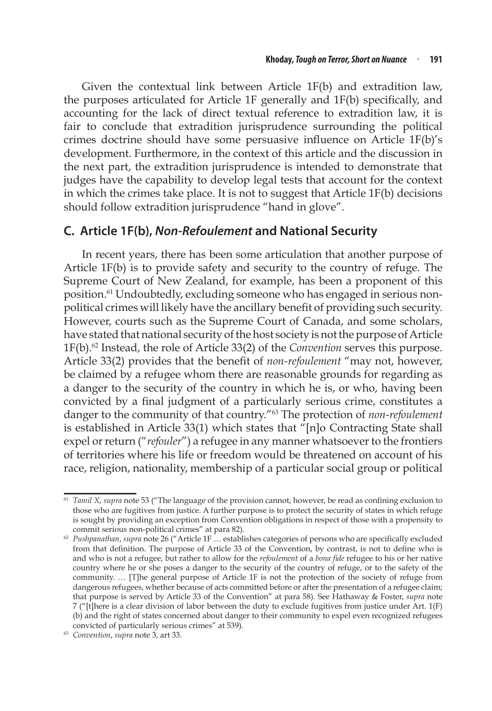Given the contextual link between Article 1F(b) and extradition law, the purposes articulated for Article 1F generally and 1F(b) specifically, and accounting for the lack of direct textual reference to extradition law, it is fair to conclude that extradition jurisprudence surrounding the political crimes doctrine should have some persuasive influence on Article 1F(b)'s development. Furthermore, in the context of this article and the discussion in the next part, the extradition jurisprudence is intended to demonstrate that judges have the capability to develop legal tests that account for the context in which the crimes take place. It is not to suggest that Article 1F(b) decisions should follow extradition jurisprudence "hand in glove".

#### **C. Article 1F(b),** *Non-Refoulement* **and National Security**

In recent years, there has been some articulation that another purpose of Article 1F(b) is to provide safety and security to the country of refuge. The Supreme Court of New Zealand, for example, has been a proponent of this position.<sup>61</sup> Undoubtedly, excluding someone who has engaged in serious nonpolitical crimes will likely have the ancillary benefit of providing such security. However, courts such as the Supreme Court of Canada, and some scholars, have stated that national security of the host society is not the purpose of Article 1F(b).62 Instead, the role of Article 33(2) of the *Convention* serves this purpose. Article 33(2) provides that the benefit of *non-refoulement* "may not, however, be claimed by a refugee whom there are reasonable grounds for regarding as a danger to the security of the country in which he is, or who, having been convicted by a final judgment of a particularly serious crime, constitutes a danger to the community of that country."63 The protection of *non-refoulement* is established in Article 33(1) which states that "[n]o Contracting State shall expel or return ("*refouler*") a refugee in any manner whatsoever to the frontiers of territories where his life or freedom would be threatened on account of his race, religion, nationality, membership of a particular social group or political

<sup>61</sup> *Tamil X*, *supra* note 53 ("The language of the provision cannot, however, be read as confining exclusion to those who are fugitives from justice. A further purpose is to protect the security of states in which refuge is sought by providing an exception from Convention obligations in respect of those with a propensity to commit serious non-political crimes" at para 82).

<sup>&</sup>lt;sup>62</sup> Pushpanathan, supra note 26 ("Article 1F ... establishes categories of persons who are specifically excluded from that definition. The purpose of Article 33 of the Convention, by contrast, is not to define who is and who is not a refugee, but rather to allow for the *refoulement* of a *bona fide* refugee to his or her native country where he or she poses a danger to the security of the country of refuge, or to the safety of the community. … [T]he general purpose of Article 1F is not the protection of the society of refuge from dangerous refugees, whether because of acts committed before or after the presentation of a refugee claim; that purpose is served by Article 33 of the Convention" at para 58). See Hathaway & Foster, *supra* note 7 ("[t]here is a clear division of labor between the duty to exclude fugitives from justice under Art. 1(F) (b) and the right of states concerned about danger to their community to expel even recognized refugees convicted of particularly serious crimes" at 539).

<sup>63</sup> *Convention*, *supra* note 3, art 33.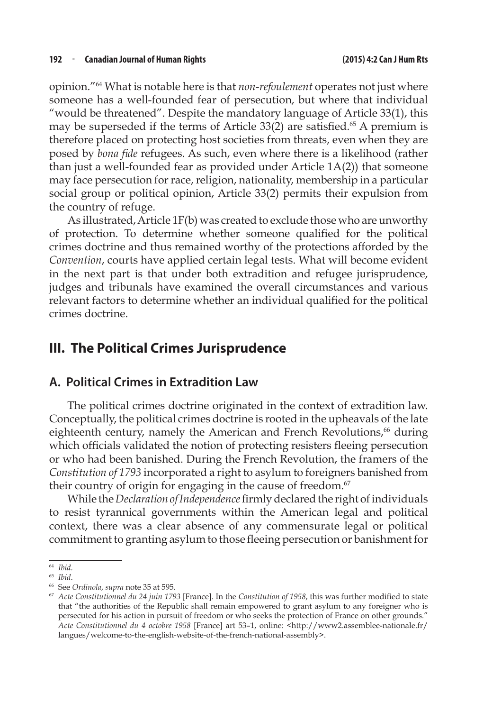opinion."64 What is notable here is that *non-refoulement* operates not just where someone has a well-founded fear of persecution, but where that individual "would be threatened". Despite the mandatory language of Article 33(1), this may be superseded if the terms of Article 33(2) are satisfied.<sup>65</sup> A premium is therefore placed on protecting host societies from threats, even when they are posed by *bona fide* refugees. As such, even where there is a likelihood (rather than just a well-founded fear as provided under Article 1A(2)) that someone may face persecution for race, religion, nationality, membership in a particular social group or political opinion, Article 33(2) permits their expulsion from the country of refuge.

As illustrated, Article 1F(b) was created to exclude those who are unworthy of protection. To determine whether someone qualified for the political crimes doctrine and thus remained worthy of the protections afforded by the *Convention*, courts have applied certain legal tests. What will become evident in the next part is that under both extradition and refugee jurisprudence, judges and tribunals have examined the overall circumstances and various relevant factors to determine whether an individual qualified for the political crimes doctrine.

## **III. The Political Crimes Jurisprudence**

#### **A. Political Crimes in Extradition Law**

The political crimes doctrine originated in the context of extradition law. Conceptually, the political crimes doctrine is rooted in the upheavals of the late eighteenth century, namely the American and French Revolutions,<sup>66</sup> during which officials validated the notion of protecting resisters fleeing persecution or who had been banished. During the French Revolution, the framers of the *Constitution of 1793* incorporated a right to asylum to foreigners banished from their country of origin for engaging in the cause of freedom.<sup>67</sup>

While the *Declaration of Independence* firmly declared the right of individuals to resist tyrannical governments within the American legal and political context, there was a clear absence of any commensurate legal or political commitment to granting asylum to those fleeing persecution or banishment for

<sup>&</sup>lt;sup>64</sup> *Ibid.*<br><sup>65</sup> *Ibid.*<br><sup>66</sup> See *Ordinola, supra* note 35 at 595.<br><sup>67</sup> Acte Constitutionnel du 24 juin 1793 [France]. In the *Constitution of 1958,* this was further modified to state that "the authorities of the Republic shall remain empowered to grant asylum to any foreigner who is persecuted for his action in pursuit of freedom or who seeks the protection of France on other grounds." *Acte Constitutionnel du 4 octobre 1958* [France] art 53–1, online: <http://www2.assemblee-nationale.fr/ langues/welcome-to-the-english-website-of-the-french-national-assembly>.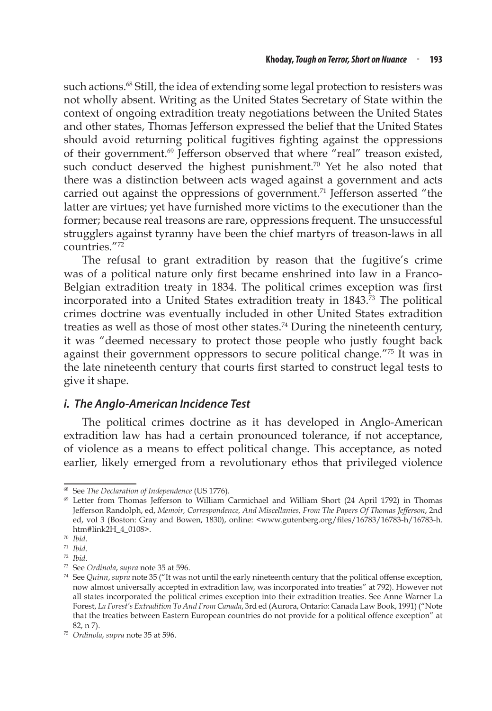such actions.<sup>68</sup> Still, the idea of extending some legal protection to resisters was not wholly absent. Writing as the United States Secretary of State within the context of ongoing extradition treaty negotiations between the United States and other states, Thomas Jefferson expressed the belief that the United States should avoid returning political fugitives fighting against the oppressions of their government.<sup>69</sup> Jefferson observed that where "real" treason existed, such conduct deserved the highest punishment.<sup>70</sup> Yet he also noted that there was a distinction between acts waged against a government and acts carried out against the oppressions of government.<sup>71</sup> Jefferson asserted "the latter are virtues; yet have furnished more victims to the executioner than the former; because real treasons are rare, oppressions frequent. The unsuccessful strugglers against tyranny have been the chief martyrs of treason-laws in all countries."72

The refusal to grant extradition by reason that the fugitive's crime was of a political nature only first became enshrined into law in a Franco-Belgian extradition treaty in 1834. The political crimes exception was first incorporated into a United States extradition treaty in 1843.73 The political crimes doctrine was eventually included in other United States extradition treaties as well as those of most other states.<sup>74</sup> During the nineteenth century, it was "deemed necessary to protect those people who justly fought back against their government oppressors to secure political change."75 It was in the late nineteenth century that courts first started to construct legal tests to give it shape.

#### *i. The Anglo-American Incidence Test*

The political crimes doctrine as it has developed in Anglo-American extradition law has had a certain pronounced tolerance, if not acceptance, of violence as a means to effect political change. This acceptance, as noted earlier, likely emerged from a revolutionary ethos that privileged violence

<sup>68</sup> See *The Declaration of Independence* (US 1776).

<sup>69</sup> Letter from Thomas Jefferson to William Carmichael and William Short (24 April 1792) in Thomas Jefferson Randolph, ed, *Memoir, Correspondence, And Miscellanies, From The Papers Of Thomas Jefferson*, 2nd ed, vol 3 (Boston: Gray and Bowen, 1830), online: <www.gutenberg.org/files/16783/16783-h/16783-h. htm#link2H\_4\_0108>.

<sup>70</sup> *Ibid*.

<sup>71</sup> *Ibid*.

<sup>72</sup> *Ibid*.

<sup>73</sup> See *Ordinola*, *supra* note 35 at 596.

<sup>74</sup> See *Quinn*, *supra* note 35 ("It was not until the early nineteenth century that the political offense exception, now almost universally accepted in extradition law, was incorporated into treaties" at 792). However not all states incorporated the political crimes exception into their extradition treaties. See Anne Warner La Forest, *La Forest's Extradition To And From Canada*, 3rd ed (Aurora, Ontario: Canada Law Book, 1991) ("Note that the treaties between Eastern European countries do not provide for a political offence exception" at 82, n 7). 75 *Ordinola*, *supra* note 35 at 596.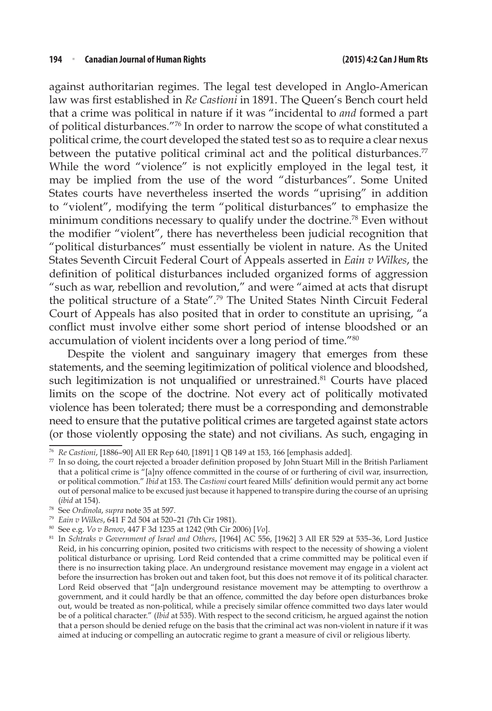against authoritarian regimes. The legal test developed in Anglo-American law was first established in *Re Castioni* in 1891. The Queen's Bench court held that a crime was political in nature if it was "incidental to *and* formed a part of political disturbances."76 In order to narrow the scope of what constituted a political crime, the court developed the stated test so as to require a clear nexus between the putative political criminal act and the political disturbances.<sup>77</sup> While the word "violence" is not explicitly employed in the legal test, it may be implied from the use of the word "disturbances". Some United States courts have nevertheless inserted the words "uprising" in addition to "violent", modifying the term "political disturbances" to emphasize the minimum conditions necessary to qualify under the doctrine.<sup>78</sup> Even without the modifier "violent", there has nevertheless been judicial recognition that "political disturbances" must essentially be violent in nature. As the United States Seventh Circuit Federal Court of Appeals asserted in *Eain v Wilkes*, the definition of political disturbances included organized forms of aggression "such as war, rebellion and revolution," and were "aimed at acts that disrupt the political structure of a State".79 The United States Ninth Circuit Federal Court of Appeals has also posited that in order to constitute an uprising, "a conflict must involve either some short period of intense bloodshed or an accumulation of violent incidents over a long period of time."80

Despite the violent and sanguinary imagery that emerges from these statements, and the seeming legitimization of political violence and bloodshed, such legitimization is not unqualified or unrestrained.<sup>81</sup> Courts have placed limits on the scope of the doctrine. Not every act of politically motivated violence has been tolerated; there must be a corresponding and demonstrable need to ensure that the putative political crimes are targeted against state actors (or those violently opposing the state) and not civilians. As such, engaging in

<sup>76</sup> *Re Castioni*, [1886–90] All ER Rep 640, [1891] 1 QB 149 at 153, 166 [emphasis added].

<sup>77</sup> In so doing, the court rejected a broader definition proposed by John Stuart Mill in the British Parliament that a political crime is "[a]ny offence committed in the course of or furthering of civil war, insurrection, or political commotion." *Ibid* at 153. The *Castioni* court feared Mills' definition would permit any act borne out of personal malice to be excused just because it happened to transpire during the course of an uprising (*ibid* at 154).

<sup>78</sup> See *Ordinola*, *supra* note 35 at 597.

<sup>79</sup> *Eain v Wilkes*, 641 F 2d 504 at 520–21 (7th Cir 1981).

<sup>80</sup> See e.g. *Vo v Benov*, 447 F 3d 1235 at 1242 (9th Cir 2006) [*Vo*].

<sup>81</sup> In *Schtraks v Government of Israel and Others*, [1964] AC 556, [1962] 3 All ER 529 at 535–36, Lord Justice Reid, in his concurring opinion, posited two criticisms with respect to the necessity of showing a violent political disturbance or uprising. Lord Reid contended that a crime committed may be political even if there is no insurrection taking place. An underground resistance movement may engage in a violent act before the insurrection has broken out and taken foot, but this does not remove it of its political character. Lord Reid observed that "[a]n underground resistance movement may be attempting to overthrow a government, and it could hardly be that an offence, committed the day before open disturbances broke out, would be treated as non-political, while a precisely similar offence committed two days later would be of a political character." (*Ibid* at 535). With respect to the second criticism, he argued against the notion that a person should be denied refuge on the basis that the criminal act was non-violent in nature if it was aimed at inducing or compelling an autocratic regime to grant a measure of civil or religious liberty.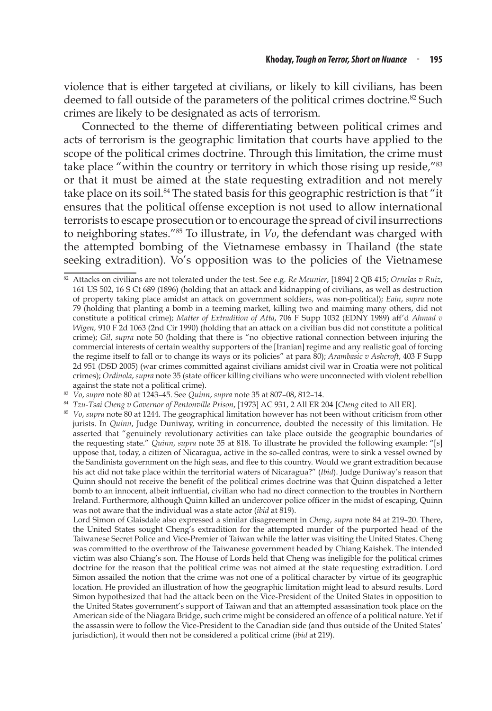violence that is either targeted at civilians, or likely to kill civilians, has been deemed to fall outside of the parameters of the political crimes doctrine.<sup>82</sup> Such crimes are likely to be designated as acts of terrorism.

Connected to the theme of differentiating between political crimes and acts of terrorism is the geographic limitation that courts have applied to the scope of the political crimes doctrine. Through this limitation, the crime must take place "within the country or territory in which those rising up reside,"<sup>83</sup> or that it must be aimed at the state requesting extradition and not merely take place on its soil.<sup>84</sup> The stated basis for this geographic restriction is that "it ensures that the political offense exception is not used to allow international terrorists to escape prosecution or to encourage the spread of civil insurrections to neighboring states."85 To illustrate, in *Vo*, the defendant was charged with the attempted bombing of the Vietnamese embassy in Thailand (the state seeking extradition). Vo's opposition was to the policies of the Vietnamese

<sup>84</sup> *Tzu-Tsai Cheng v Governor of Pentonville Prison*, [1973] AC 931, 2 All ER 204 [*Cheng* cited to All ER].

 Lord Simon of Glaisdale also expressed a similar disagreement in *Cheng*, *supra* note 84 at 219–20. There, the United States sought Cheng's extradition for the attempted murder of the purported head of the Taiwanese Secret Police and Vice-Premier of Taiwan while the latter was visiting the United States. Cheng was committed to the overthrow of the Taiwanese government headed by Chiang Kaishek. The intended victim was also Chiang's son. The House of Lords held that Cheng was ineligible for the political crimes doctrine for the reason that the political crime was not aimed at the state requesting extradition. Lord Simon assailed the notion that the crime was not one of a political character by virtue of its geographic location. He provided an illustration of how the geographic limitation might lead to absurd results. Lord Simon hypothesized that had the attack been on the Vice-President of the United States in opposition to the United States government's support of Taiwan and that an attempted assassination took place on the American side of the Niagara Bridge, such crime might be considered an offence of a political nature. Yet if the assassin were to follow the Vice-President to the Canadian side (and thus outside of the United States' jurisdiction), it would then not be considered a political crime (*ibid* at 219).

<sup>82</sup> Attacks on civilians are not tolerated under the test. See e.g. *Re Meunier*, [1894] 2 QB 415; *Ornelas v Ruiz*, 161 US 502, 16 S Ct 689 (1896) (holding that an attack and kidnapping of civilians, as well as destruction of property taking place amidst an attack on government soldiers, was non-political); *Eain*, *supra* note 79 (holding that planting a bomb in a teeming market, killing two and maiming many others, did not constitute a political crime); *Matter of Extradition of Atta*, 706 F Supp 1032 (EDNY 1989) aff'd *Ahmad v Wigen,* 910 F 2d 1063 (2nd Cir 1990) (holding that an attack on a civilian bus did not constitute a political crime); *Gil*, *supra* note 50 (holding that there is "no objective rational connection between injuring the commercial interests of certain wealthy supporters of the [Iranian] regime and any realistic goal of forcing the regime itself to fall or to change its ways or its policies" at para 80); *Arambasic v Ashcroft*, 403 F Supp 2d 951 (DSD 2005) (war crimes committed against civilians amidst civil war in Croatia were not political crimes); *Ordinola*, *supra* note 35 (state officer killing civilians who were unconnected with violent rebellion against the state not a political crime).

<sup>83</sup> *Vo*, *supra* note 80 at 1243–45. See *Quinn*, *supra* note 35 at 807–08, 812–14.

<sup>&</sup>lt;sup>85</sup> *Vo, supra* note 80 at 1244. The geographical limitation however has not been without criticism from other jurists. In *Quinn*, Judge Duniway, writing in concurrence, doubted the necessity of this limitation. He asserted that "genuinely revolutionary activities can take place outside the geographic boundaries of the requesting state." *Quinn*, *supra* note 35 at 818. To illustrate he provided the following example: "[s] uppose that, today, a citizen of Nicaragua, active in the so-called contras, were to sink a vessel owned by the Sandinista government on the high seas, and flee to this country. Would we grant extradition because his act did not take place within the territorial waters of Nicaragua?" (*Ibid*). Judge Duniway's reason that Quinn should not receive the benefit of the political crimes doctrine was that Quinn dispatched a letter bomb to an innocent, albeit influential, civilian who had no direct connection to the troubles in Northern Ireland. Furthermore, although Quinn killed an undercover police officer in the midst of escaping, Quinn was not aware that the individual was a state actor (*ibid* at 819).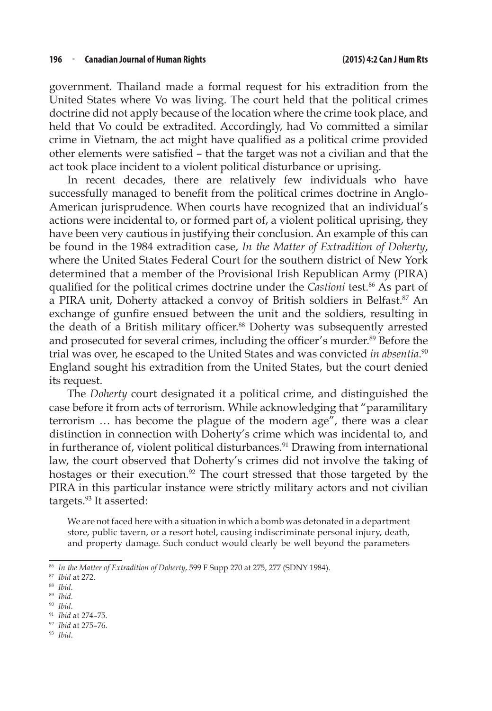government. Thailand made a formal request for his extradition from the United States where Vo was living. The court held that the political crimes doctrine did not apply because of the location where the crime took place, and held that Vo could be extradited. Accordingly, had Vo committed a similar crime in Vietnam, the act might have qualified as a political crime provided other elements were satisfied – that the target was not a civilian and that the act took place incident to a violent political disturbance or uprising.

In recent decades, there are relatively few individuals who have successfully managed to benefit from the political crimes doctrine in Anglo-American jurisprudence. When courts have recognized that an individual's actions were incidental to, or formed part of, a violent political uprising, they have been very cautious in justifying their conclusion. An example of this can be found in the 1984 extradition case, *In the Matter of Extradition of Doherty*, where the United States Federal Court for the southern district of New York determined that a member of the Provisional Irish Republican Army (PIRA) qualified for the political crimes doctrine under the *Castioni* test.<sup>86</sup> As part of a PIRA unit, Doherty attacked a convoy of British soldiers in Belfast.<sup>87</sup> An exchange of gunfire ensued between the unit and the soldiers, resulting in the death of a British military officer.<sup>88</sup> Doherty was subsequently arrested and prosecuted for several crimes, including the officer's murder.<sup>89</sup> Before the trial was over, he escaped to the United States and was convicted *in absentia*. 90 England sought his extradition from the United States, but the court denied its request.

The *Doherty* court designated it a political crime, and distinguished the case before it from acts of terrorism. While acknowledging that "paramilitary terrorism … has become the plague of the modern age", there was a clear distinction in connection with Doherty's crime which was incidental to, and in furtherance of, violent political disturbances.<sup>91</sup> Drawing from international law, the court observed that Doherty's crimes did not involve the taking of hostages or their execution.<sup>92</sup> The court stressed that those targeted by the PIRA in this particular instance were strictly military actors and not civilian targets.<sup>93</sup> It asserted:

We are not faced here with a situation in which a bomb was detonated in a department store, public tavern, or a resort hotel, causing indiscriminate personal injury, death, and property damage. Such conduct would clearly be well beyond the parameters

- <sup>92</sup> *Ibid* at 275–76.
- <sup>93</sup> *Ibid*.

<sup>86</sup> *In the Matter of Extradition of Doherty*, 599 F Supp 270 at 275, 277 (SDNY 1984).

<sup>87</sup> *Ibid* at 272.

<sup>88</sup> *Ibid*. 89 *Ibid*. 90 *Ibid*.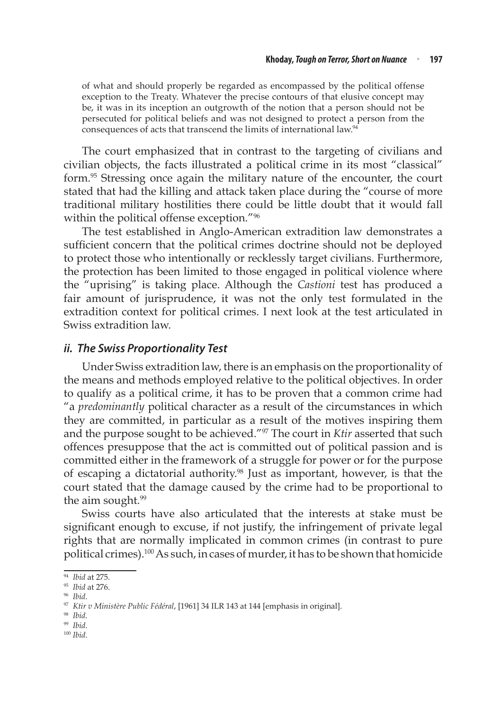of what and should properly be regarded as encompassed by the political offense exception to the Treaty. Whatever the precise contours of that elusive concept may be, it was in its inception an outgrowth of the notion that a person should not be persecuted for political beliefs and was not designed to protect a person from the consequences of acts that transcend the limits of international law.<sup>94</sup>

The court emphasized that in contrast to the targeting of civilians and civilian objects, the facts illustrated a political crime in its most "classical" form.95 Stressing once again the military nature of the encounter, the court stated that had the killing and attack taken place during the "course of more traditional military hostilities there could be little doubt that it would fall within the political offense exception."96

The test established in Anglo-American extradition law demonstrates a sufficient concern that the political crimes doctrine should not be deployed to protect those who intentionally or recklessly target civilians. Furthermore, the protection has been limited to those engaged in political violence where the "uprising" is taking place. Although the *Castioni* test has produced a fair amount of jurisprudence, it was not the only test formulated in the extradition context for political crimes. I next look at the test articulated in Swiss extradition law.

#### *ii. The Swiss Proportionality Test*

Under Swiss extradition law, there is an emphasis on the proportionality of the means and methods employed relative to the political objectives. In order to qualify as a political crime, it has to be proven that a common crime had "a *predominantly* political character as a result of the circumstances in which they are committed, in particular as a result of the motives inspiring them and the purpose sought to be achieved."97 The court in *Ktir* asserted that such offences presuppose that the act is committed out of political passion and is committed either in the framework of a struggle for power or for the purpose of escaping a dictatorial authority.<sup>98</sup> Just as important, however, is that the court stated that the damage caused by the crime had to be proportional to the aim sought.<sup>99</sup>

Swiss courts have also articulated that the interests at stake must be significant enough to excuse, if not justify, the infringement of private legal rights that are normally implicated in common crimes (in contrast to pure political crimes).100 As such, in cases of murder, it has to be shown that homicide

- <sup>98</sup> *Ibid*. 99 *Ibid*.
- <sup>100</sup> *Ibid*.

<sup>94</sup> *Ibid* at 275.

<sup>95</sup> *Ibid* at 276.

<sup>96</sup> *Ibid*. 97 *Ktir v Ministère Public Fédéral*, [1961] 34 ILR 143 at 144 [emphasis in original].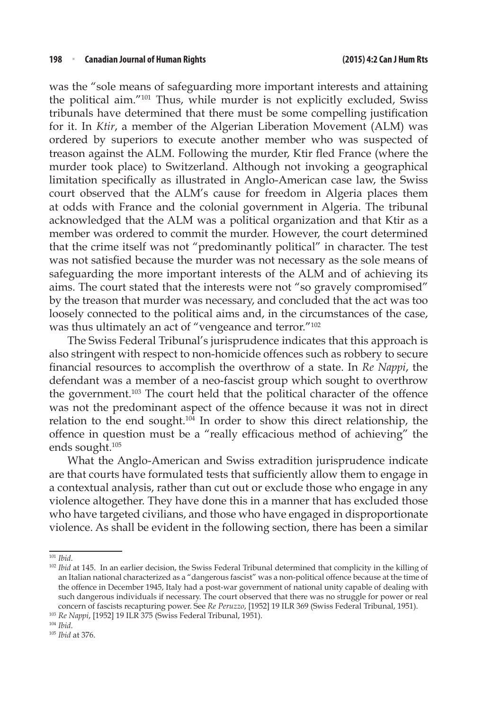was the "sole means of safeguarding more important interests and attaining the political aim."101 Thus, while murder is not explicitly excluded, Swiss tribunals have determined that there must be some compelling justification for it. In *Ktir*, a member of the Algerian Liberation Movement (ALM) was ordered by superiors to execute another member who was suspected of treason against the ALM. Following the murder, Ktir fled France (where the murder took place) to Switzerland. Although not invoking a geographical limitation specifically as illustrated in Anglo-American case law, the Swiss court observed that the ALM's cause for freedom in Algeria places them at odds with France and the colonial government in Algeria. The tribunal acknowledged that the ALM was a political organization and that Ktir as a member was ordered to commit the murder. However, the court determined that the crime itself was not "predominantly political" in character. The test was not satisfied because the murder was not necessary as the sole means of safeguarding the more important interests of the ALM and of achieving its aims. The court stated that the interests were not "so gravely compromised" by the treason that murder was necessary, and concluded that the act was too loosely connected to the political aims and, in the circumstances of the case, was thus ultimately an act of "vengeance and terror."102

The Swiss Federal Tribunal's jurisprudence indicates that this approach is also stringent with respect to non-homicide offences such as robbery to secure financial resources to accomplish the overthrow of a state. In *Re Nappi*, the defendant was a member of a neo-fascist group which sought to overthrow the government.103 The court held that the political character of the offence was not the predominant aspect of the offence because it was not in direct relation to the end sought.104 In order to show this direct relationship, the offence in question must be a "really efficacious method of achieving" the ends sought.105

What the Anglo-American and Swiss extradition jurisprudence indicate are that courts have formulated tests that sufficiently allow them to engage in a contextual analysis, rather than cut out or exclude those who engage in any violence altogether. They have done this in a manner that has excluded those who have targeted civilians, and those who have engaged in disproportionate violence. As shall be evident in the following section, there has been a similar

<sup>&</sup>lt;sup>101</sup> *Ibid.*<br><sup>102</sup> *Ibid* at 145. In an earlier decision, the Swiss Federal Tribunal determined that complicity in the killing of an Italian national characterized as a "dangerous fascist" was a non-political offence because at the time of the offence in December 1945, Italy had a post-war government of national unity capable of dealing with such dangerous individuals if necessary. The court observed that there was no struggle for power or real concern of fascists recapturing power. See *Re Peruzzo*, [1952] 19 ILR 369 (Swiss Federal Tribunal, 1951).

<sup>103</sup> *Re Nappi*, [1952] 19 ILR 375 (Swiss Federal Tribunal, 1951).

<sup>104</sup> *Ibid*.

<sup>105</sup> *Ibid* at 376.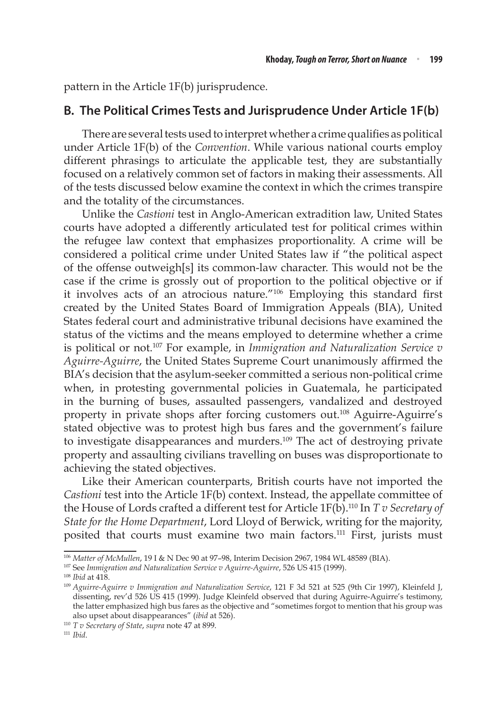pattern in the Article 1F(b) jurisprudence.

#### **B. The Political Crimes Tests and Jurisprudence Under Article 1F(b)**

There are several tests used to interpret whether a crime qualifies as political under Article 1F(b) of the *Convention*. While various national courts employ different phrasings to articulate the applicable test, they are substantially focused on a relatively common set of factors in making their assessments. All of the tests discussed below examine the context in which the crimes transpire and the totality of the circumstances.

Unlike the *Castioni* test in Anglo-American extradition law, United States courts have adopted a differently articulated test for political crimes within the refugee law context that emphasizes proportionality. A crime will be considered a political crime under United States law if "the political aspect of the offense outweigh[s] its common-law character. This would not be the case if the crime is grossly out of proportion to the political objective or if it involves acts of an atrocious nature."106 Employing this standard first created by the United States Board of Immigration Appeals (BIA), United States federal court and administrative tribunal decisions have examined the status of the victims and the means employed to determine whether a crime is political or not.107 For example, in *Immigration and Naturalization Service v Aguirre-Aguirre*, the United States Supreme Court unanimously affirmed the BIA's decision that the asylum-seeker committed a serious non-political crime when, in protesting governmental policies in Guatemala, he participated in the burning of buses, assaulted passengers, vandalized and destroyed property in private shops after forcing customers out.108 Aguirre-Aguirre's stated objective was to protest high bus fares and the government's failure to investigate disappearances and murders.<sup>109</sup> The act of destroying private property and assaulting civilians travelling on buses was disproportionate to achieving the stated objectives.

Like their American counterparts, British courts have not imported the *Castioni* test into the Article 1F(b) context. Instead, the appellate committee of the House of Lords crafted a different test for Article 1F(b).110 In *T v Secretary of State for the Home Department*, Lord Lloyd of Berwick, writing for the majority, posited that courts must examine two main factors.<sup>111</sup> First, jurists must

<sup>106</sup> *Matter of McMullen*, 19 I & N Dec 90 at 97–98, Interim Decision 2967, 1984 WL 48589 (BIA).

<sup>107</sup> See *Immigration and Naturalization Service v Aguirre-Aguirre*, 526 US 415 (1999).

<sup>&</sup>lt;sup>109</sup> Aguirre-Aguirre v Immigration and Naturalization Service, 121 F 3d 521 at 525 (9th Cir 1997), Kleinfeld J, dissenting, rev'd 526 US 415 (1999). Judge Kleinfeld observed that during Aguirre-Aguirre's testimony, the latter emphasized high bus fares as the objective and "sometimes forgot to mention that his group was also upset about disappearances" (*ibid* at 526).

<sup>110</sup> *T v Secretary of State*, *supra* note 47 at 899.

<sup>111</sup> *Ibid*.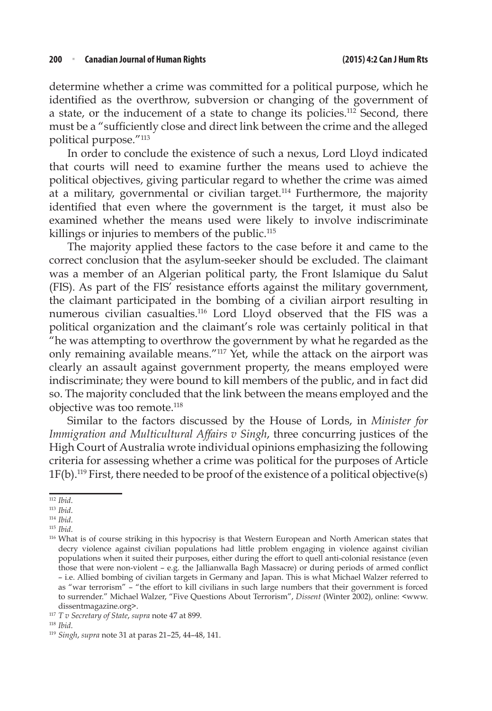determine whether a crime was committed for a political purpose, which he identified as the overthrow, subversion or changing of the government of a state, or the inducement of a state to change its policies.<sup>112</sup> Second, there must be a "sufficiently close and direct link between the crime and the alleged political purpose."113

In order to conclude the existence of such a nexus, Lord Lloyd indicated that courts will need to examine further the means used to achieve the political objectives, giving particular regard to whether the crime was aimed at a military, governmental or civilian target.<sup>114</sup> Furthermore, the majority identified that even where the government is the target, it must also be examined whether the means used were likely to involve indiscriminate killings or injuries to members of the public.<sup>115</sup>

The majority applied these factors to the case before it and came to the correct conclusion that the asylum-seeker should be excluded. The claimant was a member of an Algerian political party, the Front Islamique du Salut (FIS). As part of the FIS' resistance efforts against the military government, the claimant participated in the bombing of a civilian airport resulting in numerous civilian casualties.<sup>116</sup> Lord Lloyd observed that the FIS was a political organization and the claimant's role was certainly political in that "he was attempting to overthrow the government by what he regarded as the only remaining available means."117 Yet, while the attack on the airport was clearly an assault against government property, the means employed were indiscriminate; they were bound to kill members of the public, and in fact did so. The majority concluded that the link between the means employed and the objective was too remote.<sup>118</sup>

Similar to the factors discussed by the House of Lords, in *Minister for Immigration and Multicultural Affairs v Singh*, three concurring justices of the High Court of Australia wrote individual opinions emphasizing the following criteria for assessing whether a crime was political for the purposes of Article  $1F(b)$ .<sup>119</sup> First, there needed to be proof of the existence of a political objective(s)

<sup>112</sup> *Ibid*.

<sup>113</sup> *Ibid*.

<sup>114</sup> *Ibid*.

<sup>115</sup> *Ibid*.

<sup>&</sup>lt;sup>116</sup> What is of course striking in this hypocrisy is that Western European and North American states that decry violence against civilian populations had little problem engaging in violence against civilian populations when it suited their purposes, either during the effort to quell anti-colonial resistance (even those that were non-violent – e.g. the Jallianwalla Bagh Massacre) or during periods of armed conflict – i.e. Allied bombing of civilian targets in Germany and Japan. This is what Michael Walzer referred to as "war terrorism" – "the effort to kill civilians in such large numbers that their government is forced to surrender." Michael Walzer, "Five Questions About Terrorism", *Dissent* (Winter 2002), online: <www. dissentmagazine.org>.

<sup>117</sup> *T v Secretary of State*, *supra* note 47 at 899.

<sup>118</sup> *Ibid*.

<sup>119</sup> *Singh*, *supra* note 31 at paras 21–25, 44–48, 141.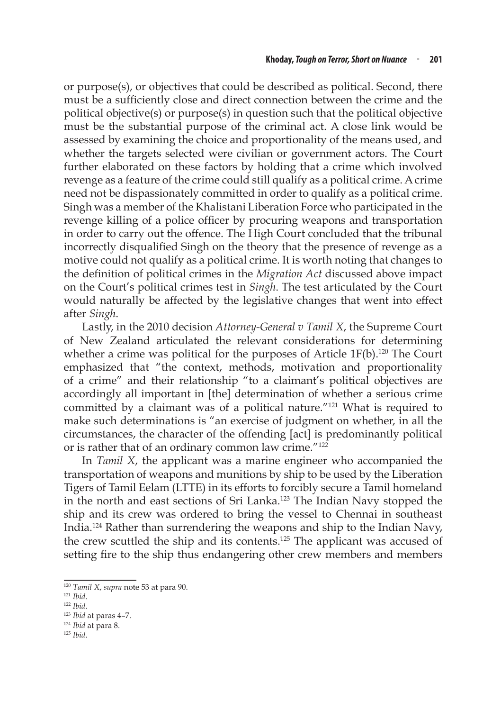or purpose(s), or objectives that could be described as political. Second, there must be a sufficiently close and direct connection between the crime and the political objective(s) or purpose(s) in question such that the political objective must be the substantial purpose of the criminal act. A close link would be assessed by examining the choice and proportionality of the means used, and whether the targets selected were civilian or government actors. The Court further elaborated on these factors by holding that a crime which involved revenge as a feature of the crime could still qualify as a political crime. A crime need not be dispassionately committed in order to qualify as a political crime. Singh was a member of the Khalistani Liberation Force who participated in the revenge killing of a police officer by procuring weapons and transportation in order to carry out the offence. The High Court concluded that the tribunal incorrectly disqualified Singh on the theory that the presence of revenge as a motive could not qualify as a political crime. It is worth noting that changes to the definition of political crimes in the *Migration Act* discussed above impact on the Court's political crimes test in *Singh*. The test articulated by the Court would naturally be affected by the legislative changes that went into effect after *Singh*.

Lastly, in the 2010 decision *Attorney-General v Tamil X*, the Supreme Court of New Zealand articulated the relevant considerations for determining whether a crime was political for the purposes of Article  $1F(b).^{120}$  The Court emphasized that "the context, methods, motivation and proportionality of a crime" and their relationship "to a claimant's political objectives are accordingly all important in [the] determination of whether a serious crime committed by a claimant was of a political nature."<sup>121</sup> What is required to make such determinations is "an exercise of judgment on whether, in all the circumstances, the character of the offending [act] is predominantly political or is rather that of an ordinary common law crime."122

In *Tamil X*, the applicant was a marine engineer who accompanied the transportation of weapons and munitions by ship to be used by the Liberation Tigers of Tamil Eelam (LTTE) in its efforts to forcibly secure a Tamil homeland in the north and east sections of Sri Lanka.<sup>123</sup> The Indian Navy stopped the ship and its crew was ordered to bring the vessel to Chennai in southeast India.124 Rather than surrendering the weapons and ship to the Indian Navy, the crew scuttled the ship and its contents.125 The applicant was accused of setting fire to the ship thus endangering other crew members and members

<sup>125</sup> *Ibid*.

<sup>120</sup> *Tamil X*, *supra* note 53 at para 90. 121 *Ibid*.

<sup>122</sup> *Ibid*.

<sup>123</sup> *Ibid* at paras 4–7.

<sup>124</sup> *Ibid* at para 8.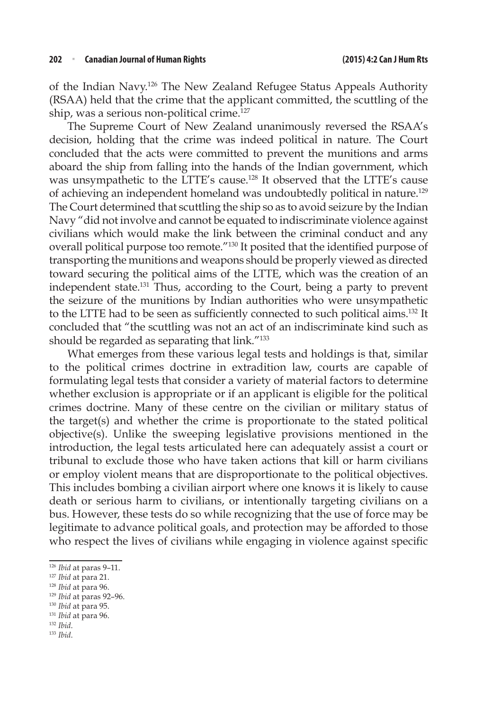of the Indian Navy.126 The New Zealand Refugee Status Appeals Authority (RSAA) held that the crime that the applicant committed, the scuttling of the ship, was a serious non-political crime.<sup>127</sup>

The Supreme Court of New Zealand unanimously reversed the RSAA's decision, holding that the crime was indeed political in nature. The Court concluded that the acts were committed to prevent the munitions and arms aboard the ship from falling into the hands of the Indian government, which was unsympathetic to the LTTE's cause.<sup>128</sup> It observed that the LTTE's cause of achieving an independent homeland was undoubtedly political in nature.129 The Court determined that scuttling the ship so as to avoid seizure by the Indian Navy "did not involve and cannot be equated to indiscriminate violence against civilians which would make the link between the criminal conduct and any overall political purpose too remote."130 It posited that the identified purpose of transporting the munitions and weapons should be properly viewed as directed toward securing the political aims of the LTTE, which was the creation of an independent state.131 Thus, according to the Court, being a party to prevent the seizure of the munitions by Indian authorities who were unsympathetic to the LTTE had to be seen as sufficiently connected to such political aims.132 It concluded that "the scuttling was not an act of an indiscriminate kind such as should be regarded as separating that link."<sup>133</sup>

What emerges from these various legal tests and holdings is that, similar to the political crimes doctrine in extradition law, courts are capable of formulating legal tests that consider a variety of material factors to determine whether exclusion is appropriate or if an applicant is eligible for the political crimes doctrine. Many of these centre on the civilian or military status of the target(s) and whether the crime is proportionate to the stated political objective(s). Unlike the sweeping legislative provisions mentioned in the introduction, the legal tests articulated here can adequately assist a court or tribunal to exclude those who have taken actions that kill or harm civilians or employ violent means that are disproportionate to the political objectives. This includes bombing a civilian airport where one knows it is likely to cause death or serious harm to civilians, or intentionally targeting civilians on a bus. However, these tests do so while recognizing that the use of force may be legitimate to advance political goals, and protection may be afforded to those who respect the lives of civilians while engaging in violence against specific

- <sup>128</sup> *Ibid* at para 96.<br><sup>129</sup> *Ibid* at paras 92–96.<br><sup>130</sup> *Ibid* at para 95.<br><sup>131</sup> *Ibid*. 133 *Ibid*. 133 *Ibid*.
- 
- 
- 

<sup>&</sup>lt;sup>126</sup> *Ibid* at paras 9-11.<br><sup>127</sup> *Ibid* at para 21.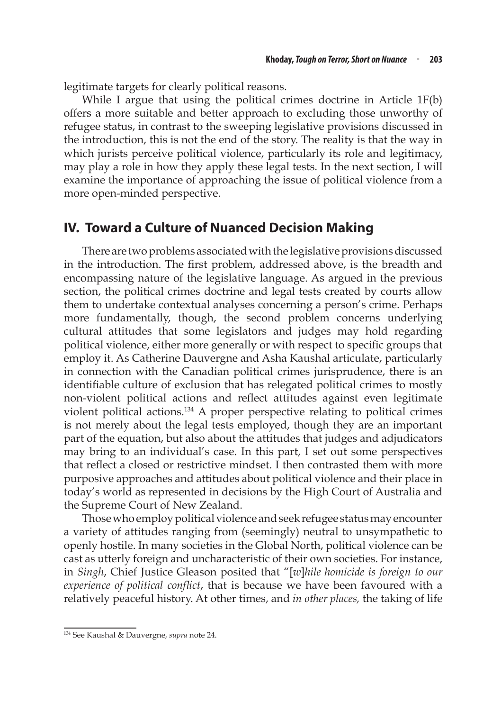legitimate targets for clearly political reasons.

While I argue that using the political crimes doctrine in Article 1F(b) offers a more suitable and better approach to excluding those unworthy of refugee status, in contrast to the sweeping legislative provisions discussed in the introduction, this is not the end of the story. The reality is that the way in which jurists perceive political violence, particularly its role and legitimacy, may play a role in how they apply these legal tests. In the next section, I will examine the importance of approaching the issue of political violence from a more open-minded perspective.

#### **IV. Toward a Culture of Nuanced Decision Making**

There are two problems associated with the legislative provisions discussed in the introduction. The first problem, addressed above, is the breadth and encompassing nature of the legislative language. As argued in the previous section, the political crimes doctrine and legal tests created by courts allow them to undertake contextual analyses concerning a person's crime. Perhaps more fundamentally, though, the second problem concerns underlying cultural attitudes that some legislators and judges may hold regarding political violence, either more generally or with respect to specific groups that employ it. As Catherine Dauvergne and Asha Kaushal articulate, particularly in connection with the Canadian political crimes jurisprudence, there is an identifiable culture of exclusion that has relegated political crimes to mostly non-violent political actions and reflect attitudes against even legitimate violent political actions.134 A proper perspective relating to political crimes is not merely about the legal tests employed, though they are an important part of the equation, but also about the attitudes that judges and adjudicators may bring to an individual's case. In this part, I set out some perspectives that reflect a closed or restrictive mindset. I then contrasted them with more purposive approaches and attitudes about political violence and their place in today's world as represented in decisions by the High Court of Australia and the Supreme Court of New Zealand.

Those who employ political violence and seek refugee status may encounter a variety of attitudes ranging from (seemingly) neutral to unsympathetic to openly hostile. In many societies in the Global North, political violence can be cast as utterly foreign and uncharacteristic of their own societies. For instance, in *Singh*, Chief Justice Gleason posited that "[*w*]*hile homicide is foreign to our experience of political conflict*, that is because we have been favoured with a relatively peaceful history. At other times, and *in other places,* the taking of life

<sup>134</sup> See Kaushal & Dauvergne, *supra* note 24.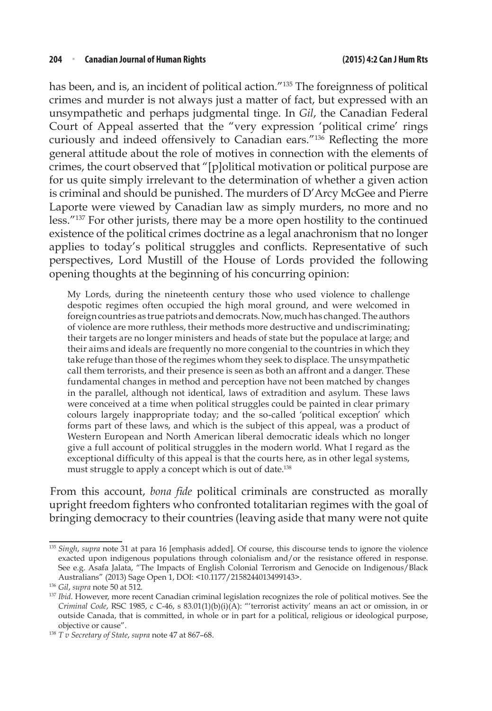has been, and is, an incident of political action.<sup>"135</sup> The foreignness of political crimes and murder is not always just a matter of fact, but expressed with an unsympathetic and perhaps judgmental tinge. In *Gil*, the Canadian Federal Court of Appeal asserted that the "very expression 'political crime' rings curiously and indeed offensively to Canadian ears."136 Reflecting the more general attitude about the role of motives in connection with the elements of crimes, the court observed that "[p]olitical motivation or political purpose are for us quite simply irrelevant to the determination of whether a given action is criminal and should be punished. The murders of D'Arcy McGee and Pierre Laporte were viewed by Canadian law as simply murders, no more and no less."<sup>137</sup> For other jurists, there may be a more open hostility to the continued existence of the political crimes doctrine as a legal anachronism that no longer applies to today's political struggles and conflicts. Representative of such perspectives, Lord Mustill of the House of Lords provided the following opening thoughts at the beginning of his concurring opinion:

My Lords, during the nineteenth century those who used violence to challenge despotic regimes often occupied the high moral ground, and were welcomed in foreign countries as true patriots and democrats. Now, much has changed. The authors of violence are more ruthless, their methods more destructive and undiscriminating; their targets are no longer ministers and heads of state but the populace at large; and their aims and ideals are frequently no more congenial to the countries in which they take refuge than those of the regimes whom they seek to displace. The unsympathetic call them terrorists, and their presence is seen as both an affront and a danger. These fundamental changes in method and perception have not been matched by changes in the parallel, although not identical, laws of extradition and asylum. These laws were conceived at a time when political struggles could be painted in clear primary colours largely inappropriate today; and the so-called 'political exception' which forms part of these laws, and which is the subject of this appeal, was a product of Western European and North American liberal democratic ideals which no longer give a full account of political struggles in the modern world. What I regard as the exceptional difficulty of this appeal is that the courts here, as in other legal systems, must struggle to apply a concept which is out of date.<sup>138</sup>

From this account, *bona fide* political criminals are constructed as morally upright freedom fighters who confronted totalitarian regimes with the goal of bringing democracy to their countries (leaving aside that many were not quite

<sup>135</sup> *Singh*, *supra* note 31 at para 16 [emphasis added]. Of course, this discourse tends to ignore the violence exacted upon indigenous populations through colonialism and/or the resistance offered in response. See e.g. Asafa Jalata, "The Impacts of English Colonial Terrorism and Genocide on Indigenous/Black Australians" (2013) Sage Open 1, DOI: <10.1177/2158244013499143>.

<sup>&</sup>lt;sup>137</sup> *Ibid*. However, more recent Canadian criminal legislation recognizes the role of political motives. See the *Criminal Code*, RSC 1985, c C-46, s 83.01(1)(b)(i)(A): "'terrorist activity' means an act or omission, in or outside Canada, that is committed, in whole or in part for a political, religious or ideological purpose, objective or cause". 138 *T v Secretary of State*, *supra* note 47 at 867–68.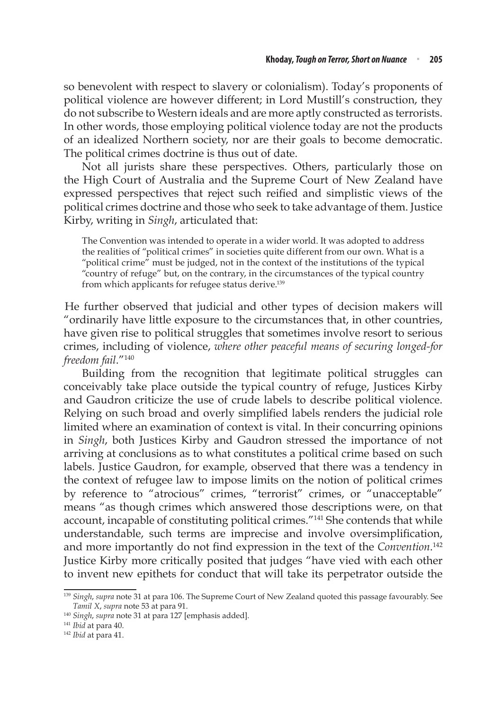so benevolent with respect to slavery or colonialism). Today's proponents of political violence are however different; in Lord Mustill's construction, they do not subscribe to Western ideals and are more aptly constructed as terrorists. In other words, those employing political violence today are not the products of an idealized Northern society, nor are their goals to become democratic. The political crimes doctrine is thus out of date.

Not all jurists share these perspectives. Others, particularly those on the High Court of Australia and the Supreme Court of New Zealand have expressed perspectives that reject such reified and simplistic views of the political crimes doctrine and those who seek to take advantage of them. Justice Kirby, writing in *Singh*, articulated that:

The Convention was intended to operate in a wider world. It was adopted to address the realities of "political crimes" in societies quite different from our own. What is a "political crime" must be judged, not in the context of the institutions of the typical "country of refuge" but, on the contrary, in the circumstances of the typical country from which applicants for refugee status derive.<sup>139</sup>

He further observed that judicial and other types of decision makers will "ordinarily have little exposure to the circumstances that, in other countries, have given rise to political struggles that sometimes involve resort to serious crimes, including of violence, *where other peaceful means of securing longed-for freedom fail*."140

Building from the recognition that legitimate political struggles can conceivably take place outside the typical country of refuge, Justices Kirby and Gaudron criticize the use of crude labels to describe political violence. Relying on such broad and overly simplified labels renders the judicial role limited where an examination of context is vital. In their concurring opinions in *Singh*, both Justices Kirby and Gaudron stressed the importance of not arriving at conclusions as to what constitutes a political crime based on such labels. Justice Gaudron, for example, observed that there was a tendency in the context of refugee law to impose limits on the notion of political crimes by reference to "atrocious" crimes, "terrorist" crimes, or "unacceptable" means "as though crimes which answered those descriptions were, on that account, incapable of constituting political crimes."141 She contends that while understandable, such terms are imprecise and involve oversimplification, and more importantly do not find expression in the text of the *Convention*. 142 Justice Kirby more critically posited that judges "have vied with each other to invent new epithets for conduct that will take its perpetrator outside the

<sup>139</sup> *Singh*, *supra* note 31 at para 106. The Supreme Court of New Zealand quoted this passage favourably. See

*Tamil X*, *supra* note 53 at para 91. 140 *Singh*, *supra* note 31 at para 127 [emphasis added]. 141 *Ibid* at para 40. 142 *Ibid* at para 41.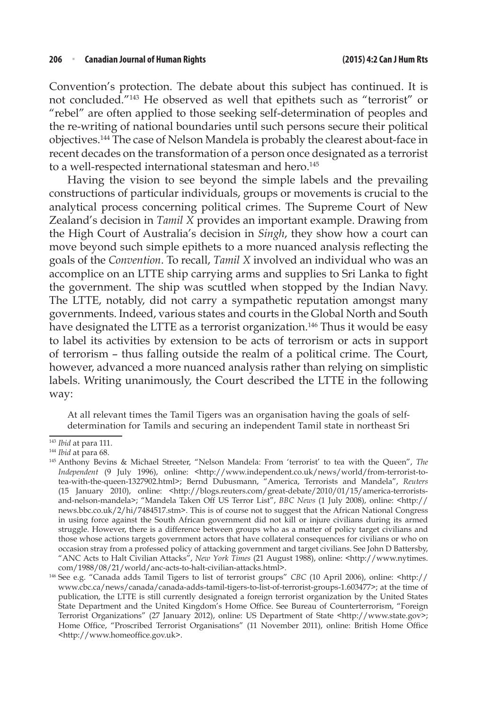Convention's protection. The debate about this subject has continued. It is not concluded."143 He observed as well that epithets such as "terrorist" or "rebel" are often applied to those seeking self-determination of peoples and the re-writing of national boundaries until such persons secure their political objectives.144 The case of Nelson Mandela is probably the clearest about-face in recent decades on the transformation of a person once designated as a terrorist to a well-respected international statesman and hero.<sup>145</sup>

Having the vision to see beyond the simple labels and the prevailing constructions of particular individuals, groups or movements is crucial to the analytical process concerning political crimes. The Supreme Court of New Zealand's decision in *Tamil X* provides an important example. Drawing from the High Court of Australia's decision in *Singh*, they show how a court can move beyond such simple epithets to a more nuanced analysis reflecting the goals of the *Convention*. To recall, *Tamil X* involved an individual who was an accomplice on an LTTE ship carrying arms and supplies to Sri Lanka to fight the government. The ship was scuttled when stopped by the Indian Navy. The LTTE, notably, did not carry a sympathetic reputation amongst many governments. Indeed, various states and courts in the Global North and South have designated the LTTE as a terrorist organization.<sup>146</sup> Thus it would be easy to label its activities by extension to be acts of terrorism or acts in support of terrorism – thus falling outside the realm of a political crime. The Court, however, advanced a more nuanced analysis rather than relying on simplistic labels. Writing unanimously, the Court described the LTTE in the following way:

At all relevant times the Tamil Tigers was an organisation having the goals of selfdetermination for Tamils and securing an independent Tamil state in northeast Sri

<sup>&</sup>lt;sup>143</sup> *Ibid* at para 111.<br><sup>144</sup> *Ibid* at para 68.<br><sup>145</sup> Anthony Bevins & Michael Streeter, "Nelson Mandela: From 'terrorist' to tea with the Queen", *The Independent* (9 July 1996), online: <http://www.independent.co.uk/news/world/from-terrorist-totea-with-the-queen-1327902.html>; Bernd Dubusmann, "America, Terrorists and Mandela", *Reuters*  (15 January 2010), online: <http://blogs.reuters.com/great-debate/2010/01/15/america-terroristsand-nelson-mandela>; "Mandela Taken Off US Terror List", *BBC News* (1 July 2008), online: <http:// news.bbc.co.uk/2/hi/7484517.stm>. This is of course not to suggest that the African National Congress in using force against the South African government did not kill or injure civilians during its armed struggle. However, there is a difference between groups who as a matter of policy target civilians and those whose actions targets government actors that have collateral consequences for civilians or who on occasion stray from a professed policy of attacking government and target civilians. See John D Battersby, "ANC Acts to Halt Civilian Attacks", *New York Times* (21 August 1988), online: <http://www.nytimes. com/1988/08/21/world/anc-acts-to-halt-civilian-attacks.html>.

<sup>146</sup> See e.g. "Canada adds Tamil Tigers to list of terrorist groups" *CBC* (10 April 2006), online: <http:// www.cbc.ca/news/canada/canada-adds-tamil-tigers-to-list-of-terrorist-groups-1.603477>; at the time of publication, the LTTE is still currently designated a foreign terrorist organization by the United States State Department and the United Kingdom's Home Office. See Bureau of Counterterrorism, "Foreign Terrorist Organizations" (27 January 2012), online: US Department of State <http://www.state.gov>; Home Office, "Proscribed Terrorist Organisations" (11 November 2011), online: British Home Office <http://www.homeoffice.gov.uk>.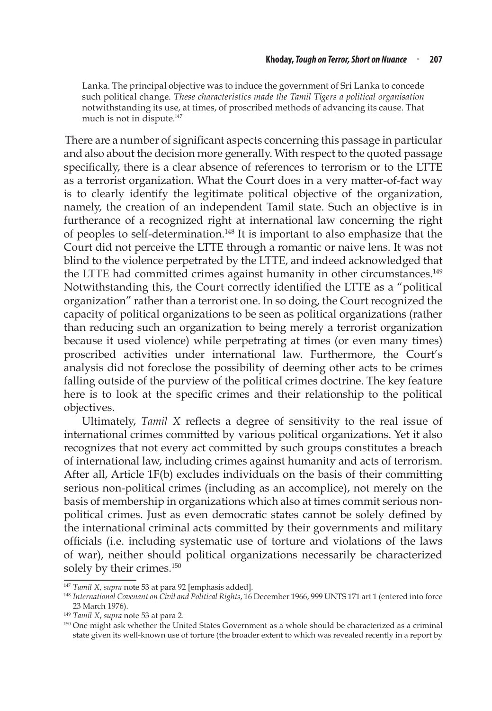Lanka. The principal objective was to induce the government of Sri Lanka to concede such political change. *These characteristics made the Tamil Tigers a political organisation* notwithstanding its use, at times, of proscribed methods of advancing its cause. That much is not in dispute.<sup>147</sup>

There are a number of significant aspects concerning this passage in particular and also about the decision more generally. With respect to the quoted passage specifically, there is a clear absence of references to terrorism or to the LTTE as a terrorist organization. What the Court does in a very matter-of-fact way is to clearly identify the legitimate political objective of the organization, namely, the creation of an independent Tamil state. Such an objective is in furtherance of a recognized right at international law concerning the right of peoples to self-determination.148 It is important to also emphasize that the Court did not perceive the LTTE through a romantic or naive lens. It was not blind to the violence perpetrated by the LTTE, and indeed acknowledged that the LTTE had committed crimes against humanity in other circumstances.<sup>149</sup> Notwithstanding this, the Court correctly identified the LTTE as a "political organization" rather than a terrorist one. In so doing, the Court recognized the capacity of political organizations to be seen as political organizations (rather than reducing such an organization to being merely a terrorist organization because it used violence) while perpetrating at times (or even many times) proscribed activities under international law. Furthermore, the Court's analysis did not foreclose the possibility of deeming other acts to be crimes falling outside of the purview of the political crimes doctrine. The key feature here is to look at the specific crimes and their relationship to the political objectives.

Ultimately, *Tamil X* reflects a degree of sensitivity to the real issue of international crimes committed by various political organizations. Yet it also recognizes that not every act committed by such groups constitutes a breach of international law, including crimes against humanity and acts of terrorism. After all, Article 1F(b) excludes individuals on the basis of their committing serious non-political crimes (including as an accomplice), not merely on the basis of membership in organizations which also at times commit serious nonpolitical crimes. Just as even democratic states cannot be solely defined by the international criminal acts committed by their governments and military officials (i.e. including systematic use of torture and violations of the laws of war), neither should political organizations necessarily be characterized solely by their crimes.<sup>150</sup>

<sup>147</sup> *Tamil X*, *supra* note 53 at para 92 [emphasis added]. 148 *International Covenant on Civil and Political Rights*, 16 December 1966, 999 UNTS 171 art 1 (entered into force 23 March 1976). 149 *Tamil X*, *supra* note 53 at para 2.

<sup>&</sup>lt;sup>150</sup> One might ask whether the United States Government as a whole should be characterized as a criminal state given its well-known use of torture (the broader extent to which was revealed recently in a report by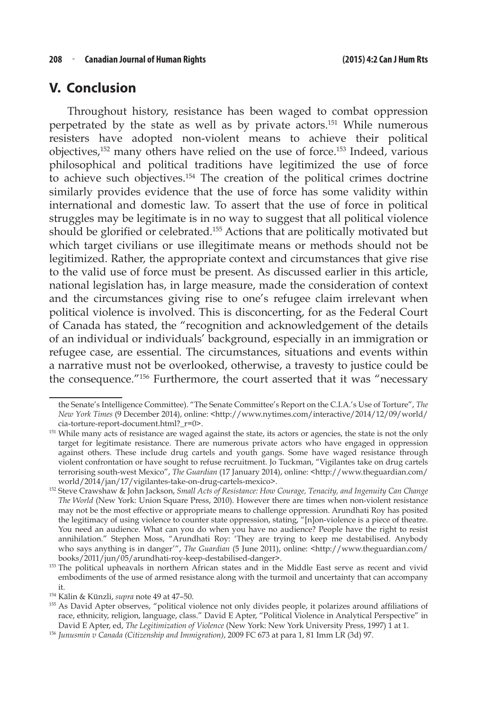#### **V. Conclusion**

Throughout history, resistance has been waged to combat oppression perpetrated by the state as well as by private actors.151 While numerous resisters have adopted non-violent means to achieve their political objectives,152 many others have relied on the use of force.153 Indeed, various philosophical and political traditions have legitimized the use of force to achieve such objectives.154 The creation of the political crimes doctrine similarly provides evidence that the use of force has some validity within international and domestic law. To assert that the use of force in political struggles may be legitimate is in no way to suggest that all political violence should be glorified or celebrated.155 Actions that are politically motivated but which target civilians or use illegitimate means or methods should not be legitimized. Rather, the appropriate context and circumstances that give rise to the valid use of force must be present. As discussed earlier in this article, national legislation has, in large measure, made the consideration of context and the circumstances giving rise to one's refugee claim irrelevant when political violence is involved. This is disconcerting, for as the Federal Court of Canada has stated, the "recognition and acknowledgement of the details of an individual or individuals' background, especially in an immigration or refugee case, are essential. The circumstances, situations and events within a narrative must not be overlooked, otherwise, a travesty to justice could be the consequence."156 Furthermore, the court asserted that it was "necessary

the Senate's Intelligence Committee). "The Senate Committee's Report on the C.I.A.'s Use of Torture", *The New York Times* (9 December 2014), online: <http://www.nytimes.com/interactive/2014/12/09/world/ cia-torture-report-document.html?\_r=0>.

<sup>&</sup>lt;sup>151</sup> While many acts of resistance are waged against the state, its actors or agencies, the state is not the only target for legitimate resistance. There are numerous private actors who have engaged in oppression against others. These include drug cartels and youth gangs. Some have waged resistance through violent confrontation or have sought to refuse recruitment. Jo Tuckman, "Vigilantes take on drug cartels terrorising south-west Mexico", *The Guardian* (17 January 2014), online: <http://www.theguardian.com/ world/2014/jan/17/vigilantes-take-on-drug-cartels-mexico>.

<sup>152</sup> Steve Crawshaw & John Jackson, *Small Acts of Resistance: How Courage, Tenacity, and Ingenuity Can Change The World* (New York: Union Square Press, 2010). However there are times when non-violent resistance may not be the most effective or appropriate means to challenge oppression. Arundhati Roy has posited the legitimacy of using violence to counter state oppression, stating, "[n]on-violence is a piece of theatre. You need an audience. What can you do when you have no audience? People have the right to resist annihilation." Stephen Moss, "Arundhati Roy: 'They are trying to keep me destabilised. Anybody who says anything is in danger'", *The Guardian* (5 June 2011), online: <http://www.theguardian.com/ books/2011/jun/05/arundhati-roy-keep-destabilised-danger>.

<sup>&</sup>lt;sup>153</sup> The political upheavals in northern African states and in the Middle East serve as recent and vivid embodiments of the use of armed resistance along with the turmoil and uncertainty that can accompany it.

<sup>&</sup>lt;sup>154</sup> Kälin & Künzli, *supra* note 49 at 47–50.<br><sup>155</sup> As David Apter observes, "political violence not only divides people, it polarizes around affiliations of race, ethnicity, religion, language, class." David E Apter, "Political Violence in Analytical Perspective" in David E Apter, ed, *The Legitimization of Violence* (New York: New York University Press, 1997) 1 at 1.

<sup>156</sup> *Junusmin v Canada (Citizenship and Immigration)*, 2009 FC 673 at para 1, 81 Imm LR (3d) 97.